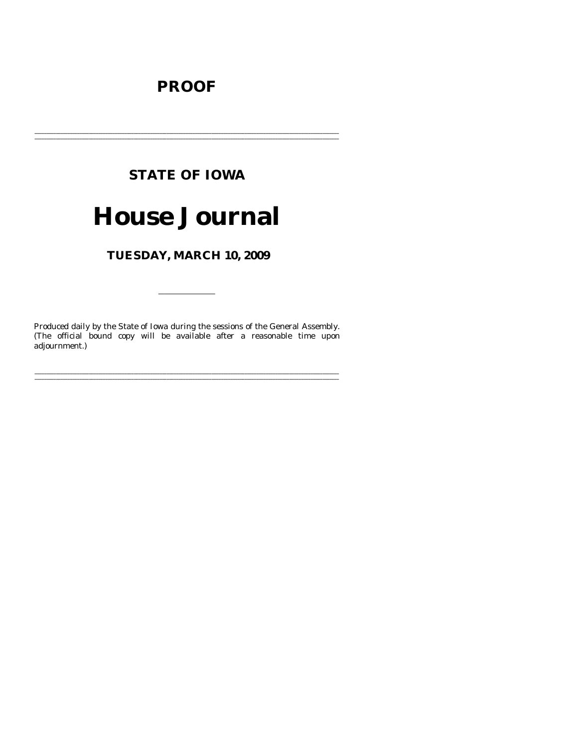# **PROOF**

# **STATE OF IOWA**

# **House Journal**

TUESDAY, MARCH 10, 2009

Produced daily by the State of Iowa during the sessions of the General Assembly. (The official bound copy will be available after a reasonable time upon adjournment.)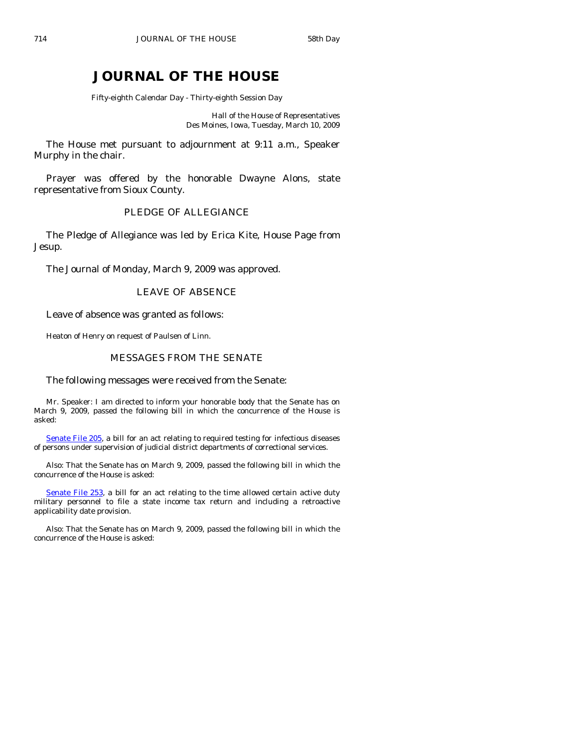# **JOURNAL OF THE HOUSE**

Fifty-eighth Calendar Day - Thirty-eighth Session Day

Hall of the House of Representatives Des Moines, Iowa, Tuesday, March 10, 2009

 The House met pursuant to adjournment at 9:11 a.m., Speaker Murphy in the chair.

 Prayer was offered by the honorable Dwayne Alons, state representative from Sioux County.

# PLEDGE OF ALLEGIANCE

 The Pledge of Allegiance was led by Erica Kite, House Page from Jesup.

The Journal of Monday, March 9, 2009 was approved.

## LEAVE OF ABSENCE

Leave of absence was granted as follows:

Heaton of Henry on request of Paulsen of Linn.

# MESSAGES FROM THE SENATE

#### The following messages were received from the Senate:

 Mr. Speaker: I am directed to inform your honorable body that the Senate has on March 9, 2009, passed the following bill in which the concurrence of the House is asked:

[Senate File 205,](http://coolice.legis.state.ia.us/Cool-ICE/default.asp?Category=billinfo&Service=Billbook&frame=1&GA=83&hbill=SF205) a bill for an act relating to required testing for infectious diseases of persons under supervision of judicial district departments of correctional services.

 Also: That the Senate has on March 9, 2009, passed the following bill in which the concurrence of the House is asked:

[Senate File 253,](http://coolice.legis.state.ia.us/Cool-ICE/default.asp?Category=billinfo&Service=Billbook&frame=1&GA=83&hbill=SF253) a bill for an act relating to the time allowed certain active duty military personnel to file a state income tax return and including a retroactive applicability date provision.

 Also: That the Senate has on March 9, 2009, passed the following bill in which the concurrence of the House is asked: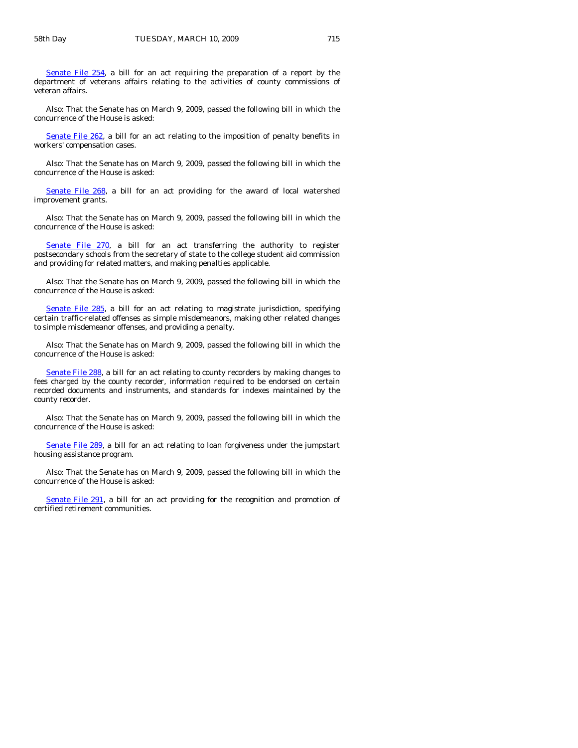[Senate File 254,](http://coolice.legis.state.ia.us/Cool-ICE/default.asp?Category=billinfo&Service=Billbook&frame=1&GA=83&hbill=SF254) a bill for an act requiring the preparation of a report by the department of veterans affairs relating to the activities of county commissions of veteran affairs.

 Also: That the Senate has on March 9, 2009, passed the following bill in which the concurrence of the House is asked:

[Senate File 262,](http://coolice.legis.state.ia.us/Cool-ICE/default.asp?Category=billinfo&Service=Billbook&frame=1&GA=83&hbill=SF262) a bill for an act relating to the imposition of penalty benefits in workers' compensation cases.

 Also: That the Senate has on March 9, 2009, passed the following bill in which the concurrence of the House is asked:

[Senate File 268,](http://coolice.legis.state.ia.us/Cool-ICE/default.asp?Category=billinfo&Service=Billbook&frame=1&GA=83&hbill=SF268) a bill for an act providing for the award of local watershed improvement grants.

 Also: That the Senate has on March 9, 2009, passed the following bill in which the concurrence of the House is asked:

[Senate File 270,](http://coolice.legis.state.ia.us/Cool-ICE/default.asp?Category=billinfo&Service=Billbook&frame=1&GA=83&hbill=SF270) a bill for an act transferring the authority to register postsecondary schools from the secretary of state to the college student aid commission and providing for related matters, and making penalties applicable.

 Also: That the Senate has on March 9, 2009, passed the following bill in which the concurrence of the House is asked:

[Senate File 285,](http://coolice.legis.state.ia.us/Cool-ICE/default.asp?Category=billinfo&Service=Billbook&frame=1&GA=83&hbill=SF285) a bill for an act relating to magistrate jurisdiction, specifying certain traffic-related offenses as simple misdemeanors, making other related changes to simple misdemeanor offenses, and providing a penalty.

 Also: That the Senate has on March 9, 2009, passed the following bill in which the concurrence of the House is asked:

[Senate File 288](http://coolice.legis.state.ia.us/Cool-ICE/default.asp?Category=billinfo&Service=Billbook&frame=1&GA=83&hbill=SF288), a bill for an act relating to county recorders by making changes to fees charged by the county recorder, information required to be endorsed on certain recorded documents and instruments, and standards for indexes maintained by the county recorder.

 Also: That the Senate has on March 9, 2009, passed the following bill in which the concurrence of the House is asked:

[Senate File 289](http://coolice.legis.state.ia.us/Cool-ICE/default.asp?Category=billinfo&Service=Billbook&frame=1&GA=83&hbill=SF289), a bill for an act relating to loan forgiveness under the jumpstart housing assistance program.

 Also: That the Senate has on March 9, 2009, passed the following bill in which the concurrence of the House is asked:

[Senate File 291,](http://coolice.legis.state.ia.us/Cool-ICE/default.asp?Category=billinfo&Service=Billbook&frame=1&GA=83&hbill=SF291) a bill for an act providing for the recognition and promotion of certified retirement communities.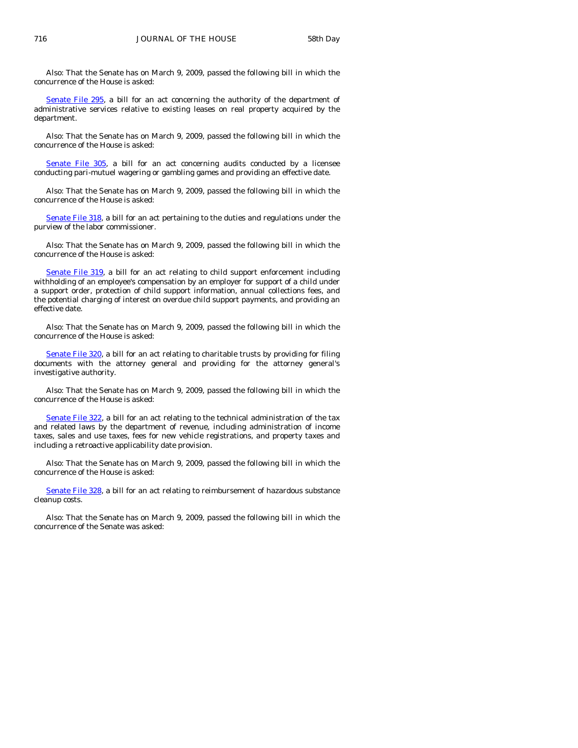Also: That the Senate has on March 9, 2009, passed the following bill in which the concurrence of the House is asked:

[Senate File 295,](http://coolice.legis.state.ia.us/Cool-ICE/default.asp?Category=billinfo&Service=Billbook&frame=1&GA=83&hbill=SF295) a bill for an act concerning the authority of the department of administrative services relative to existing leases on real property acquired by the department.

 Also: That the Senate has on March 9, 2009, passed the following bill in which the concurrence of the House is asked:

[Senate File 305](http://coolice.legis.state.ia.us/Cool-ICE/default.asp?Category=billinfo&Service=Billbook&frame=1&GA=83&hbill=SF305), a bill for an act concerning audits conducted by a licensee conducting pari-mutuel wagering or gambling games and providing an effective date.

 Also: That the Senate has on March 9, 2009, passed the following bill in which the concurrence of the House is asked:

[Senate File 318](http://coolice.legis.state.ia.us/Cool-ICE/default.asp?Category=billinfo&Service=Billbook&frame=1&GA=83&hbill=SF318), a bill for an act pertaining to the duties and regulations under the purview of the labor commissioner.

 Also: That the Senate has on March 9, 2009, passed the following bill in which the concurrence of the House is asked:

[Senate File 319](http://coolice.legis.state.ia.us/Cool-ICE/default.asp?Category=billinfo&Service=Billbook&frame=1&GA=83&hbill=SF319), a bill for an act relating to child support enforcement including withholding of an employee's compensation by an employer for support of a child under a support order, protection of child support information, annual collections fees, and the potential charging of interest on overdue child support payments, and providing an effective date.

 Also: That the Senate has on March 9, 2009, passed the following bill in which the concurrence of the House is asked:

[Senate File 320](http://coolice.legis.state.ia.us/Cool-ICE/default.asp?Category=billinfo&Service=Billbook&frame=1&GA=83&hbill=SF320), a bill for an act relating to charitable trusts by providing for filing documents with the attorney general and providing for the attorney general's investigative authority.

 Also: That the Senate has on March 9, 2009, passed the following bill in which the concurrence of the House is asked:

[Senate File 322,](http://coolice.legis.state.ia.us/Cool-ICE/default.asp?Category=billinfo&Service=Billbook&frame=1&GA=83&hbill=SF322) a bill for an act relating to the technical administration of the tax and related laws by the department of revenue, including administration of income taxes, sales and use taxes, fees for new vehicle registrations, and property taxes and including a retroactive applicability date provision.

 Also: That the Senate has on March 9, 2009, passed the following bill in which the concurrence of the House is asked:

[Senate File 328](http://coolice.legis.state.ia.us/Cool-ICE/default.asp?Category=billinfo&Service=Billbook&frame=1&GA=83&hbill=SF328), a bill for an act relating to reimbursement of hazardous substance cleanup costs.

 Also: That the Senate has on March 9, 2009, passed the following bill in which the concurrence of the Senate was asked: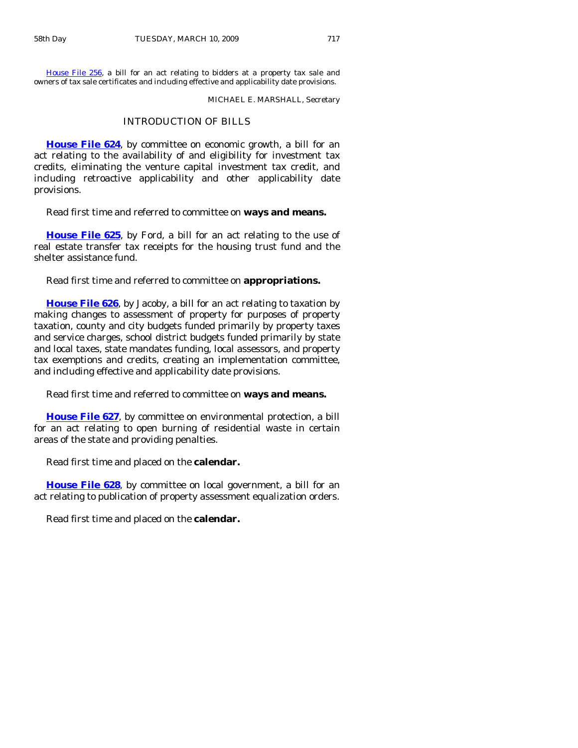[House File 256,](http://coolice.legis.state.ia.us/Cool-ICE/default.asp?Category=billinfo&Service=Billbook&frame=1&GA=83&hbill=HF256) a bill for an act relating to bidders at a property tax sale and owners of tax sale certificates and including effective and applicability date provisions.

MICHAEL E. MARSHALL, Secretary

#### INTRODUCTION OF BILLS

**[House File 624](http://coolice.legis.state.ia.us/Cool-ICE/default.asp?Category=billinfo&Service=Billbook&frame=1&GA=83&hbill=HF624)**, by committee on economic growth, a bill for an act relating to the availability of and eligibility for investment tax credits, eliminating the venture capital investment tax credit, and including retroactive applicability and other applicability date provisions.

Read first time and referred to committee on **ways and means.** 

**[House File 625](http://coolice.legis.state.ia.us/Cool-ICE/default.asp?Category=billinfo&Service=Billbook&frame=1&GA=83&hbill=HF625)**, by Ford, a bill for an act relating to the use of real estate transfer tax receipts for the housing trust fund and the shelter assistance fund.

Read first time and referred to committee on **appropriations.** 

**[House File 626](http://coolice.legis.state.ia.us/Cool-ICE/default.asp?Category=billinfo&Service=Billbook&frame=1&GA=83&hbill=HF626)**, by Jacoby, a bill for an act relating to taxation by making changes to assessment of property for purposes of property taxation, county and city budgets funded primarily by property taxes and service charges, school district budgets funded primarily by state and local taxes, state mandates funding, local assessors, and property tax exemptions and credits, creating an implementation committee, and including effective and applicability date provisions.

Read first time and referred to committee on **ways and means.** 

**[House File 627](http://coolice.legis.state.ia.us/Cool-ICE/default.asp?Category=billinfo&Service=Billbook&frame=1&GA=83&hbill=HF627)**, by committee on environmental protection, a bill for an act relating to open burning of residential waste in certain areas of the state and providing penalties.

Read first time and placed on the **calendar.** 

**[House File 628](http://coolice.legis.state.ia.us/Cool-ICE/default.asp?Category=billinfo&Service=Billbook&frame=1&GA=83&hbill=HF628)**, by committee on local government, a bill for an act relating to publication of property assessment equalization orders.

Read first time and placed on the **calendar.**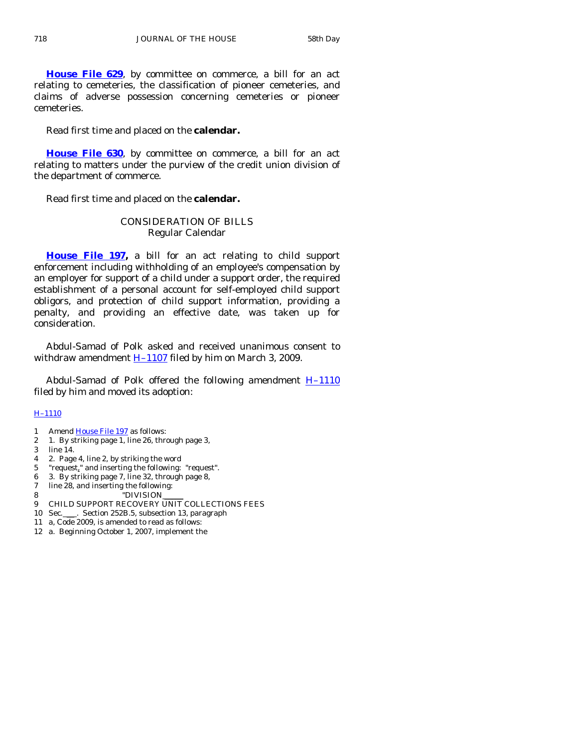**[House File 629](http://coolice.legis.state.ia.us/Cool-ICE/default.asp?Category=billinfo&Service=Billbook&frame=1&GA=83&hbill=HF629)**, by committee on commerce, a bill for an act relating to cemeteries, the classification of pioneer cemeteries, and claims of adverse possession concerning cemeteries or pioneer cemeteries.

Read first time and placed on the **calendar.** 

**[House File 630](http://coolice.legis.state.ia.us/Cool-ICE/default.asp?Category=billinfo&Service=Billbook&frame=1&GA=83&hbill=HF630)**, by committee on commerce, a bill for an act relating to matters under the purview of the credit union division of the department of commerce.

Read first time and placed on the **calendar.** 

# CONSIDERATION OF BILLS Regular Calendar

**[House File 197,](http://coolice.legis.state.ia.us/Cool-ICE/default.asp?Category=billinfo&Service=Billbook&frame=1&GA=83&hbill=HF197)** a bill for an act relating to child support enforcement including withholding of an employee's compensation by an employer for support of a child under a support order, the required establishment of a personal account for self-employed child support obligors, and protection of child support information, providing a penalty, and providing an effective date, was taken up for consideration.

 Abdul-Samad of Polk asked and received unanimous consent to withdraw amendment  $H-1107$  filed by him on March 3, 2009.

 Abdul-Samad of Polk offered the following amendment [H–1110](http://coolice.legis.state.ia.us/Cool-ICE/default.asp?Category=billinfo&Service=Billbook&frame=1&GA=83&hbill=H1110) filed by him and moved its adoption:

#### [H–1110](http://coolice.legis.state.ia.us/Cool-ICE/default.asp?Category=billinfo&Service=Billbook&frame=1&GA=83&hbill=H1110)

- 1 Amend [House File 197](http://coolice.legis.state.ia.us/Cool-ICE/default.asp?Category=billinfo&Service=Billbook&frame=1&GA=83&hbill=HF197) as follows:
- 2 1. By striking page 1, line 26, through page 3,
- 3 line 14.
- 4 2. Page 4, line 2, by striking the word
- 5 "request," and inserting the following: "request".
- 6 3. By striking page 7, line 32, through page 8,
- 7 line 28, and inserting the following:
- 8 "DIVISION
- 9 CHILD SUPPORT RECOVERY UNIT COLLECTIONS FEES
- 10 Sec. \_\_\_\_. Section 252B.5, subsection 13, paragraph
- 11 a, Code 2009, is amended to read as follows:
- 12 a. Beginning October 1, 2007, implement the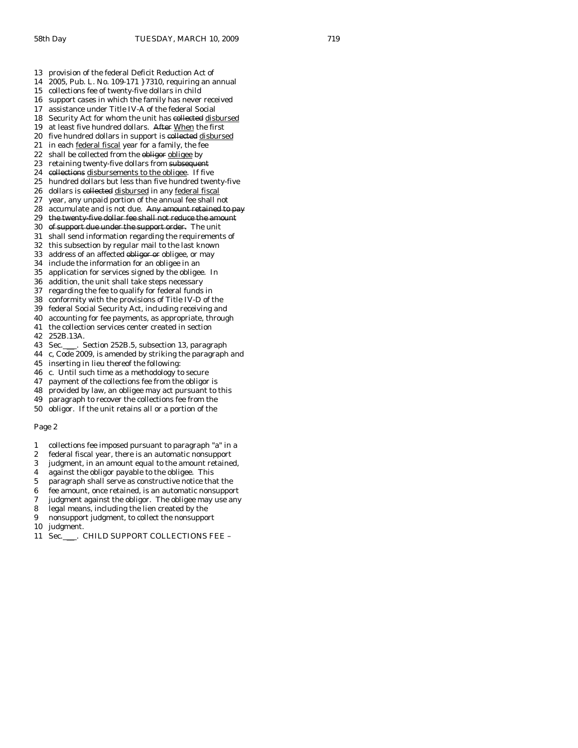13 provision of the federal Deficit Reduction Act of 14 2005, Pub. L. No. 109-171 } 7310, requiring an annual 15 collections fee of twenty-five dollars in child 16 support cases in which the family has never received 17 assistance under Title IV-A of the federal Social 18 Security Act for whom the unit has collected disbursed 19 at least five hundred dollars. After When the first 20 five hundred dollars in support is collected disbursed 21 in each federal fiscal year for a family, the fee 22 shall be collected from the obliger obligee by 23 retaining twenty-five dollars from subsequent 24 collections disbursements to the obligee. If five 25 hundred dollars but less than five hundred twenty-five 26 dollars is collected disbursed in any federal fiscal 27 year, any unpaid portion of the annual fee shall not 28 accumulate and is not due. Any amount retained to pay 29 the twenty five dollar fee shall not reduce the amou 30 of support due under the support order. The unit 31 shall send information regarding the requirements of 32 this subsection by regular mail to the last known 33 address of an affected obligor or obligee, or may 34 include the information for an obligee in an 35 application for services signed by the obligee. In 36 addition, the unit shall take steps necessary

- 37 regarding the fee to qualify for federal funds in
- 38 conformity with the provisions of Title IV-D of the
- 39 federal Social Security Act, including receiving and
- 40 accounting for fee payments, as appropriate, through
- 41 the collection services center created in section
- 42 252B.13A.<br>43 Sec.
- 5. Section 252B.5, subsection 13, paragraph
- 44 c, Code 2009, is amended by striking the paragraph and
- 45 inserting in lieu thereof the following:
- 46 c. Until such time as a methodology to secure
- 47 payment of the collections fee from the obligor is
- 48 provided by law, an obligee may act pursuant to this
- 49 paragraph to recover the collections fee from the
- 50 obligor. If the unit retains all or a portion of the

#### Page 2

- 1 collections fee imposed pursuant to paragraph "a" in a
- 2 federal fiscal year, there is an automatic nonsupport
- 3 judgment, in an amount equal to the amount retained,
- 4 against the obligor payable to the obligee. This
- 5 paragraph shall serve as constructive notice that the
- 6 fee amount, once retained, is an automatic nonsupport
- 7 judgment against the obligor. The obligee may use any
- 8 legal means, including the lien created by the
- 9 nonsupport judgment, to collect the nonsupport
- 10 judgment.
- 11 Sec. \_\_\_. CHILD SUPPORT COLLECTIONS FEE -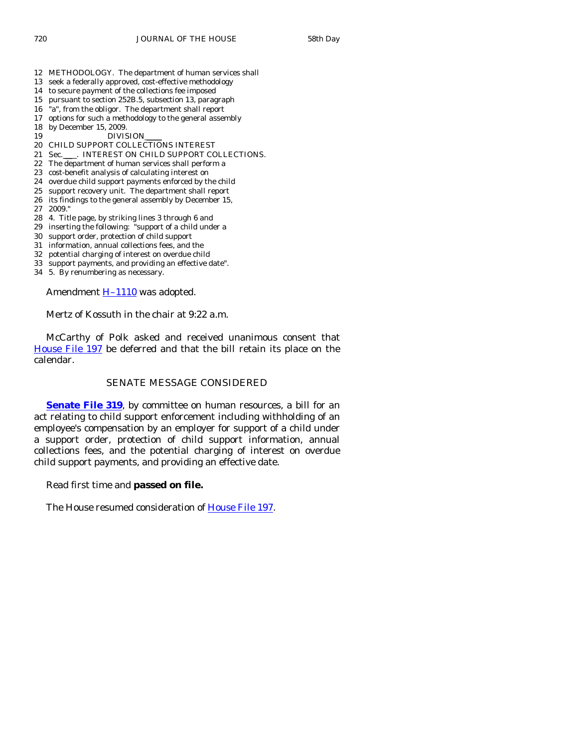- 12 METHODOLOGY. The department of human services shall
- 13 seek a federally approved, cost-effective methodology
- 14 to secure payment of the collections fee imposed
- 15 pursuant to section 252B.5, subsection 13, paragraph
- 16 "a", from the obligor. The department shall report
- 17 options for such a methodology to the general assembly 18 by December 15, 2009.
- 
- 19 DIVISION 20 CHILD SUPPORT COLLECTIONS INTEREST
- 21 Sec.\_\_\_. INTEREST ON CHILD SUPPORT COLLECTIONS.
- 22 The department of human services shall perform a
- 23 cost-benefit analysis of calculating interest on
- 24 overdue child support payments enforced by the child
- 25 support recovery unit. The department shall report
- 26 its findings to the general assembly by December 15,
- 27 2009."
- 28 4. Title page, by striking lines 3 through 6 and
- 29 inserting the following: "support of a child under a
- 30 support order, protection of child support
- 31 information, annual collections fees, and the
- 32 potential charging of interest on overdue child
- 33 support payments, and providing an effective date".
- 34 5. By renumbering as necessary.

Amendment **H**-1110 was adopted.

Mertz of Kossuth in the chair at 9:22 a.m.

 McCarthy of Polk asked and received unanimous consent that [House File 197](http://coolice.legis.state.ia.us/Cool-ICE/default.asp?Category=billinfo&Service=Billbook&frame=1&GA=83&hbill=HF197) be deferred and that the bill retain its place on the calendar.

# SENATE MESSAGE CONSIDERED

**[Senate File 319](http://coolice.legis.state.ia.us/Cool-ICE/default.asp?Category=billinfo&Service=Billbook&frame=1&GA=83&hbill=SF319)**, by committee on human resources, a bill for an act relating to child support enforcement including withholding of an employee's compensation by an employer for support of a child under a support order, protection of child support information, annual collections fees, and the potential charging of interest on overdue child support payments, and providing an effective date.

Read first time and **passed on file.** 

The House resumed consideration of [House File 197](http://coolice.legis.state.ia.us/Cool-ICE/default.asp?Category=billinfo&Service=Billbook&frame=1&GA=83&hbill=HF197).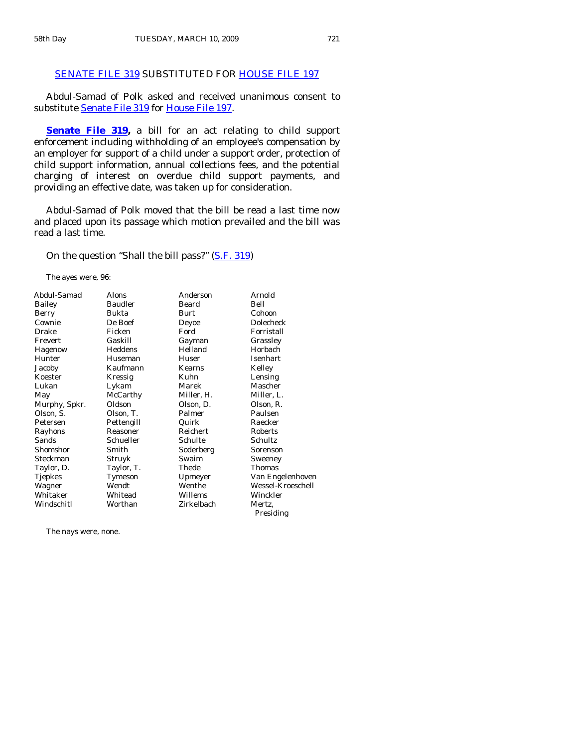# [SENATE FILE 319](http://coolice.legis.state.ia.us/Cool-ICE/default.asp?Category=billinfo&Service=Billbook&frame=1&GA=83&hbill=SF319) SUBSTITUTED FOR [HOUSE FILE 197](http://coolice.legis.state.ia.us/Cool-ICE/default.asp?Category=billinfo&Service=Billbook&frame=1&GA=83&hbill=HF197)

 Abdul-Samad of Polk asked and received unanimous consent to substitute [Senate File 319](http://coolice.legis.state.ia.us/Cool-ICE/default.asp?Category=billinfo&Service=Billbook&frame=1&GA=83&hbill=SF319) for [House File 197](http://coolice.legis.state.ia.us/Cool-ICE/default.asp?Category=billinfo&Service=Billbook&frame=1&GA=83&hbill=HF197).

**[Senate File 319](http://coolice.legis.state.ia.us/Cool-ICE/default.asp?Category=billinfo&Service=Billbook&frame=1&GA=83&hbill=SF319),** a bill for an act relating to child support enforcement including withholding of an employee's compensation by an employer for support of a child under a support order, protection of child support information, annual collections fees, and the potential charging of interest on overdue child support payments, and providing an effective date, was taken up for consideration.

 Abdul-Samad of Polk moved that the bill be read a last time now and placed upon its passage which motion prevailed and the bill was read a last time.

On the question "Shall the bill pass?" [\(S.F. 319](http://coolice.legis.state.ia.us/Cool-ICE/default.asp?Category=billinfo&Service=Billbook&frame=1&GA=83&hbill=SF319))

The ayes were, 96:

| Abdul-Samad    | Alons          | Anderson   | Arnold            |
|----------------|----------------|------------|-------------------|
| Bailey         | <b>Baudler</b> | Beard      | Bell              |
| Berry          | Bukta          | Burt       | Cohoon            |
| Cownie         | De Boef        | Deyoe      | <b>Dolecheck</b>  |
| Drake          | Ficken         | Ford       | Forristall        |
| Frevert        | Gaskill        | Gayman     | Grassley          |
| Hagenow        | Heddens        | Helland    | Horbach           |
| Hunter         | Huseman        | Huser      | Isenhart          |
| Jacoby         | Kaufmann       | Kearns     | Kelley            |
| Koester        | Kressig        | Kuhn       | Lensing           |
| Lukan          | Lykam          | Marek      | Mascher           |
| May            | McCarthy       | Miller, H. | Miller, L.        |
| Murphy, Spkr.  | Oldson         | Olson, D.  | Olson, R.         |
| Olson, S.      | Olson, T.      | Palmer     | Paulsen           |
| Petersen       | Pettengill     | Quirk      | Raecker           |
| Rayhons        | Reasoner       | Reichert   | Roberts           |
| Sands          | Schueller      | Schulte    | Schultz           |
| Shomshor       | Smith          | Soderberg  | Sorenson          |
| Steckman       | Struyk         | Swaim      | Sweeney           |
| Taylor, D.     | Taylor, T.     | Thede      | <b>Thomas</b>     |
| <b>Tjepkes</b> | Tymeson        | Upmeyer    | Van Engelenhoven  |
| Wagner         | Wendt          | Wenthe     | Wessel-Kroeschell |
| Whitaker       | Whitead        | Willems    | Winckler          |
| Windschitl     | Worthan        | Zirkelbach | Mertz.            |
|                |                |            | Presiding         |

The nays were, none.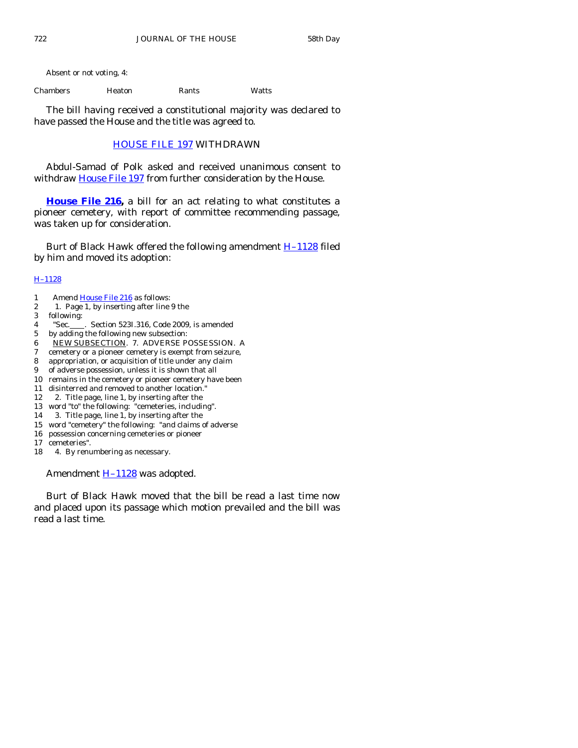Absent or not voting, 4:

Chambers Heaton Rants Watts

 The bill having received a constitutional majority was declared to have passed the House and the title was agreed to.

## [HOUSE FILE 197](http://coolice.legis.state.ia.us/Cool-ICE/default.asp?Category=billinfo&Service=Billbook&frame=1&GA=83&hbill=HF197) WITHDRAWN

 Abdul-Samad of Polk asked and received unanimous consent to withdraw [House File 197](http://coolice.legis.state.ia.us/Cool-ICE/default.asp?Category=billinfo&Service=Billbook&frame=1&GA=83&hbill=HF197) from further consideration by the House.

**[House File 216](http://coolice.legis.state.ia.us/Cool-ICE/default.asp?Category=billinfo&Service=Billbook&frame=1&GA=83&hbill=HF216),** a bill for an act relating to what constitutes a pioneer cemetery, with report of committee recommending passage, was taken up for consideration.

Burt of Black Hawk offered the following amendment **H**-1128 filed by him and moved its adoption:

## [H–1128](http://coolice.legis.state.ia.us/Cool-ICE/default.asp?Category=billinfo&Service=Billbook&frame=1&GA=83&hbill=H1128)

- 1 Amend [House File 216](http://coolice.legis.state.ia.us/Cool-ICE/default.asp?Category=billinfo&Service=Billbook&frame=1&GA=83&hbill=HF216) as follows:
- 2 1. Page 1, by inserting after line 9 the
- 3 following:
- 4 "Sec. . Section 523I.316, Code 2009, is amended
- 5 by adding the following new subsection:
- 6 NEW SUBSECTION. 7. ADVERSE POSSESSION. A
- 7 cemetery or a pioneer cemetery is exempt from seizure,
- 8 appropriation, or acquisition of title under any claim
- 9 of adverse possession, unless it is shown that all
- 10 remains in the cemetery or pioneer cemetery have been
- 11 disinterred and removed to another location."
- 12 2. Title page, line 1, by inserting after the
- 13 word "to" the following: "cemeteries, including".
- 14 3. Title page, line 1, by inserting after the 15 word "cemetery" the following: "and claims of adverse
- 16 possession concerning cemeteries or pioneer
- 17 cemeteries".
- 18 4. By renumbering as necessary.

Amendment **H**-1128 was adopted.

 Burt of Black Hawk moved that the bill be read a last time now and placed upon its passage which motion prevailed and the bill was read a last time.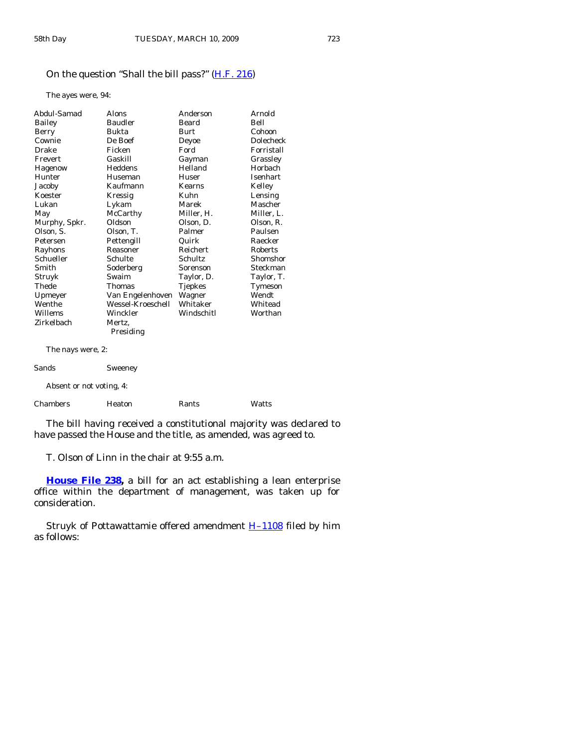# On the question "Shall the bill pass?" [\(H.F. 216](http://coolice.legis.state.ia.us/Cool-ICE/default.asp?Category=billinfo&Service=Billbook&frame=1&GA=83&hbill=HF216))

The ayes were, 94:

| Abdul-Samad       | Alons             | Anderson       | Arnold         |
|-------------------|-------------------|----------------|----------------|
| Bailey            | <b>Baudler</b>    | Beard          | Bell           |
| Berry             | Bukta             | <b>Burt</b>    | Cohoon         |
| Cownie            | De Boef           | Deyoe          | Dolecheck      |
| Drake             | Ficken            | Ford           | Forristall     |
| Frevert           | Gaskill           | Gayman         | Grassley       |
| Hagenow           | Heddens           | Helland        | <b>Horbach</b> |
| Hunter            | Huseman           | Huser          | Isenhart       |
| Jacoby            | Kaufmann          | Kearns         | Kelley         |
| Koester           | Kressig           | Kuhn           | Lensing        |
| Lukan             | Lykam             | Marek          | Mascher        |
| May               | McCarthy          | Miller, H.     | Miller, L.     |
| Murphy, Spkr.     | Oldson            | Olson, D.      | Olson, R.      |
| Olson, S.         | Olson, T.         | Palmer         | Paulsen        |
| Petersen          | Pettengill        | Quirk          | Raecker        |
| Rayhons           | Reasoner          | Reichert       | Roberts        |
| Schueller         | Schulte           | Schultz        | Shomshor       |
| Smith             | Soderberg         | Sorenson       | Steckman       |
| Struyk            | Swaim             | Taylor, D.     | Taylor, T.     |
| Thede             | <b>Thomas</b>     | <b>Tjepkes</b> | Tymeson        |
| Upmeyer           | Van Engelenhoven  | Wagner         | Wendt          |
| Wenthe            | Wessel-Kroeschell | Whitaker       | Whitead        |
| Willems           | Winckler          | Windschitl     | Worthan        |
| Zirkelbach        | Mertz,            |                |                |
|                   | Presiding         |                |                |
| The nays were, 2: |                   |                |                |
| Sands             | Sweeney           |                |                |

Absent or not voting, 4:

Chambers Heaton Rants Watts

 The bill having received a constitutional majority was declared to have passed the House and the title, as amended, was agreed to.

T. Olson of Linn in the chair at 9:55 a.m.

**[House File 238](http://coolice.legis.state.ia.us/Cool-ICE/default.asp?Category=billinfo&Service=Billbook&frame=1&GA=83&hbill=HF238),** a bill for an act establishing a lean enterprise office within the department of management, was taken up for consideration.

Struyk of Pottawattamie offered amendment **H-1108** filed by him as follows: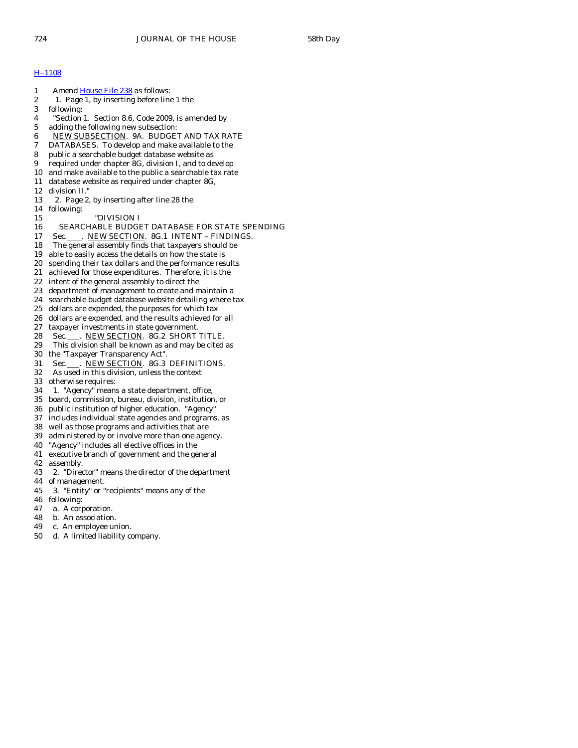## [H–1108](http://coolice.legis.state.ia.us/Cool-ICE/default.asp?Category=billinfo&Service=Billbook&frame=1&GA=83&hbill=H1108)

- 1 Amend [House File 238](http://coolice.legis.state.ia.us/Cool-ICE/default.asp?Category=billinfo&Service=Billbook&frame=1&GA=83&hbill=HF238) as follows: 2 1. Page 1, by inserting before line 1 the 3 following: 4 "Section 1. Section 8.6, Code 2009, is amended by 5 adding the following new subsection: 6 NEW SUBSECTION. 9A. BUDGET AND TAX RATE<br>7 DATABASES. To develop and make available to the DATABASES. To develop and make available to the 8 public a searchable budget database website as 9 required under chapter 8G, division I, and to develop 10 and make available to the public a searchable tax rate 11 database website as required under chapter 8G, 12 division II." 13 2. Page 2, by inserting after line 28 the 14 following: 15 "DIVISION I 16 SEARCHABLE BUDGET DATABASE FOR STATE SPENDING 17 Sec. NEW SECTION. 8G.1 INTENT - FINDINGS. 18 The general assembly finds that taxpayers should be 19 able to easily access the details on how the state is 20 spending their tax dollars and the performance results 21 achieved for those expenditures. Therefore, it is the 22 intent of the general assembly to direct the 23 department of management to create and maintain a 24 searchable budget database website detailing where tax 25 dollars are expended, the purposes for which tax 26 dollars are expended, and the results achieved for all 27 taxpayer investments in state government. 28 Sec. NEW SECTION. 8G.2 SHORT TITLE. 29 This division shall be known as and may be cited as 30 the "Taxpayer Transparency Act". 31 Sec. NEW SECTION. 8G.3 DEFINITIONS. 32 As used in this division, unless the context 33 otherwise requires:
- 34 1. "Agency" means a state department, office,
- 35 board, commission, bureau, division, institution, or
- 36 public institution of higher education. "Agency"
- 37 includes individual state agencies and programs, as
- 38 well as those programs and activities that are
- 39 administered by or involve more than one agency.
- 40 "Agency" includes all elective offices in the
- 41 executive branch of government and the general
- 42 assembly.
- 43 2. "Director" means the director of the department
- 44 of management.
- 45 3. "Entity" or "recipients" means any of the
- 46 following:
- 47 a. A corporation.
- 48 b. An association.
- 49 c. An employee union.
- 50 d. A limited liability company.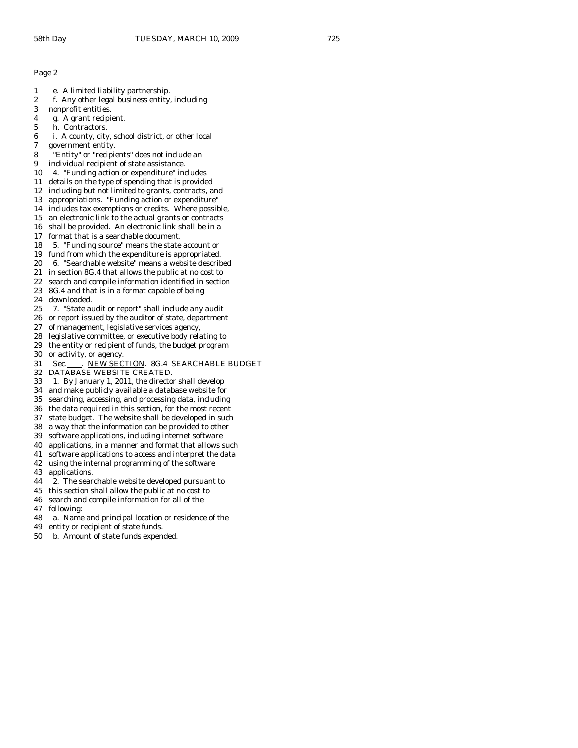- 1 e. A limited liability partnership.
- 2 f. Any other legal business entity, including
- 3 nonprofit entities.
- 4 g. A grant recipient.
- 5 h. Contractors.

6 i. A county, city, school district, or other local government entity.

- 8 "Entity" or "recipients" does not include an
- 9 individual recipient of state assistance.
- 10 4. "Funding action or expenditure" includes
- 11 details on the type of spending that is provided
- 12 including but not limited to grants, contracts, and
- 13 appropriations. "Funding action or expenditure"
- 14 includes tax exemptions or credits. Where possible,
- 15 an electronic link to the actual grants or contracts
- 16 shall be provided. An electronic link shall be in a
- 17 format that is a searchable document.
- 18 5. "Funding source" means the state account or
- 19 fund from which the expenditure is appropriated.
- 20 6. "Searchable website" means a website described
- 21 in section 8G.4 that allows the public at no cost to
- 22 search and compile information identified in section
- 23 8G.4 and that is in a format capable of being
- 24 downloaded.
- 25 7. "State audit or report" shall include any audit
- 26 or report issued by the auditor of state, department
- 27 of management, legislative services agency,
- 28 legislative committee, or executive body relating to
- 29 the entity or recipient of funds, the budget program
- 30 or activity, or agency.
- 31 Sec. NEW SECTION. 8G.4 SEARCHABLE BUDGET
- 32 DATABASE WEBSITE CREATED.
- 33 1. By January 1, 2011, the director shall develop
- 34 and make publicly available a database website for
- searching, accessing, and processing data, including
- 36 the data required in this section, for the most recent
- 37 state budget. The website shall be developed in such
- 38 a way that the information can be provided to other
- 39 software applications, including internet software
- 40 applications, in a manner and format that allows such
- 41 software applications to access and interpret the data 42 using the internal programming of the software
- 43 applications.
- 44 2. The searchable website developed pursuant to
- 45 this section shall allow the public at no cost to
- 46 search and compile information for all of the
- 47 following:
- 48 a. Name and principal location or residence of the
- 49 entity or recipient of state funds.
- 50 b. Amount of state funds expended.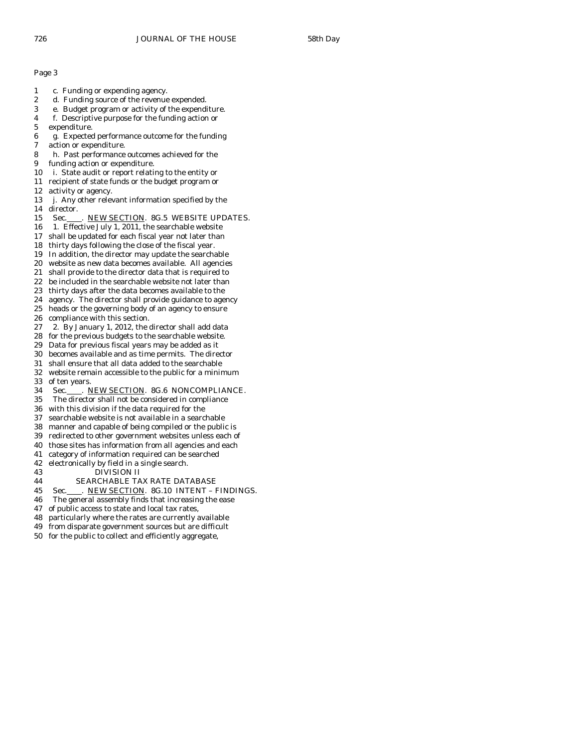- 1 c. Funding or expending agency.
- 2 d. Funding source of the revenue expended.
- 3 e. Budget program or activity of the expenditure.
- 4 f. Descriptive purpose for the funding action or
- 5 expenditure.
- 6 g. Expected performance outcome for the funding
- action or expenditure.
- 8 h. Past performance outcomes achieved for the
- 9 funding action or expenditure.
- 10 i. State audit or report relating to the entity or
- 11 recipient of state funds or the budget program or
- 12 activity or agency.
- 13 j. Any other relevant information specified by the 14 director.
- 15 Sec. ..... NEW SECTION. 8G.5 WEBSITE UPDATES.
- 16 1. Effective July 1, 2011, the searchable website
- 17 shall be updated for each fiscal year not later than
- 18 thirty days following the close of the fiscal year.
- 19 In addition, the director may update the searchable
- 20 website as new data becomes available. All agencies
- 21 shall provide to the director data that is required to
- 22 be included in the searchable website not later than
- 23 thirty days after the data becomes available to the
- 24 agency. The director shall provide guidance to agency 25 heads or the governing body of an agency to ensure
- 26 compliance with this section.
- 27 2. By January 1, 2012, the director shall add data
- 28 for the previous budgets to the searchable website.
- 29 Data for previous fiscal years may be added as it
- 30 becomes available and as time permits. The director
- 31 shall ensure that all data added to the searchable
- 32 website remain accessible to the public for a minimum
- 33 of ten years.
- 34 Sec. NEW SECTION. 8G.6 NONCOMPLIANCE.<br>35 The director shall not be considered in compliance
- The director shall not be considered in compliance
- 36 with this division if the data required for the
- 37 searchable website is not available in a searchable
- 38 manner and capable of being compiled or the public is
- 39 redirected to other government websites unless each of
- 40 those sites has information from all agencies and each
- 41 category of information required can be searched
- 42 electronically by field in a single search.
- 43 DIVISION II
- 44 SEARCHABLE TAX RATE DATABASE
- 45 Sec. NEW SECTION. 8G.10 INTENT FINDINGS.
- 46 The general assembly finds that increasing the ease
- 47 of public access to state and local tax rates,
- 48 particularly where the rates are currently available
- 49 from disparate government sources but are difficult
- 50 for the public to collect and efficiently aggregate,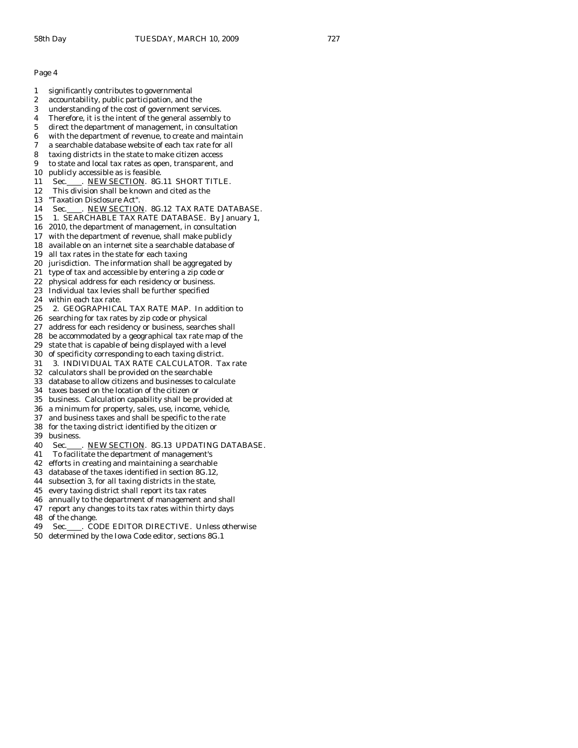- 1 significantly contributes to governmental 2 accountability, public participation, and the 3 understanding of the cost of government services. 4 Therefore, it is the intent of the general assembly to 5 direct the department of management, in consultation 6 with the department of revenue, to create and maintain 7 a searchable database website of each tax rate for all 8 taxing districts in the state to make citizen access 9 to state and local tax rates as open, transparent, and 10 publicly accessible as is feasible. 11 Sec. NEW SECTION. 8G.11 SHORT TITLE. 12 This division shall be known and cited as the 13 "Taxation Disclosure Act". 14 Sec. NEW SECTION. 8G.12 TAX RATE DATABASE. 15 1. SEARCHABLE TAX RATE DATABASE. By January 1, 16 2010, the department of management, in consultation 17 with the department of revenue, shall make publicly 18 available on an internet site a searchable database of 19 all tax rates in the state for each taxing 20 jurisdiction. The information shall be aggregated by 21 type of tax and accessible by entering a zip code or 22 physical address for each residency or business. 23 Individual tax levies shall be further specified 24 within each tax rate. 25 2. GEOGRAPHICAL TAX RATE MAP. In addition to 26 searching for tax rates by zip code or physical 27 address for each residency or business, searches shall 28 be accommodated by a geographical tax rate map of the 29 state that is capable of being displayed with a level 30 of specificity corresponding to each taxing district. 31 3. INDIVIDUAL TAX RATE CALCULATOR. Tax rate 32 calculators shall be provided on the searchable 33 database to allow citizens and businesses to calculate 34 taxes based on the location of the citizen or 35 business. Calculation capability shall be provided at 36 a minimum for property, sales, use, income, vehicle, 37 and business taxes and shall be specific to the rate 38 for the taxing district identified by the citizen or 39 business. 40 Sec. NEW SECTION. 8G.13 UPDATING DATABASE. 41 To facilitate the department of management's 42 efforts in creating and maintaining a searchable
- 43 database of the taxes identified in section 8G.12,
- 44 subsection 3, for all taxing districts in the state,
- 45 every taxing district shall report its tax rates
- 46 annually to the department of management and shall
- 47 report any changes to its tax rates within thirty days
- 48 of the change.
- 49 Sec. CODE EDITOR DIRECTIVE. Unless otherwise
- 50 determined by the Iowa Code editor, sections 8G.1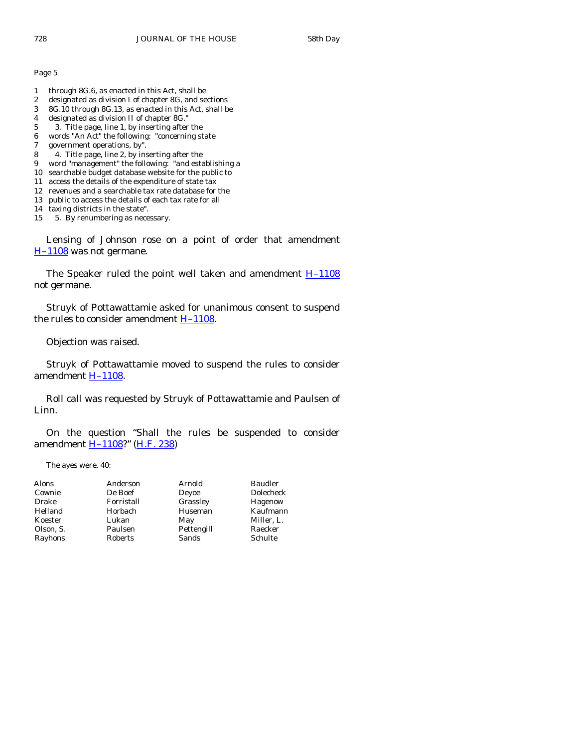- 1 through 8G.6, as enacted in this Act, shall be
- 2 designated as division I of chapter 8G, and sections
- 3 8G.10 through 8G.13, as enacted in this Act, shall be
- 4 designated as division II of chapter 8G."
- 5 3. Title page, line 1, by inserting after the
- 6 words "An Act" the following: "concerning state
- 7 government operations, by".
- 8 4. Title page, line 2, by inserting after the
- 9 word "management" the following: "and establishing a
- 10 searchable budget database website for the public to
- 11 access the details of the expenditure of state tax
- 12 revenues and a searchable tax rate database for the 13 public to access the details of each tax rate for all
- 
- 14 taxing districts in the state".
- 15 5. By renumbering as necessary.

 Lensing of Johnson rose on a point of order that amendment [H–1108](http://coolice.legis.state.ia.us/Cool-ICE/default.asp?Category=billinfo&Service=Billbook&frame=1&GA=83&hbill=H1108) was not germane.

The Speaker ruled the point well taken and amendment  $H-1108$ not germane.

 Struyk of Pottawattamie asked for unanimous consent to suspend the rules to consider amendment  $H-1108$ .

Objection was raised.

 Struyk of Pottawattamie moved to suspend the rules to consider amendment [H–1108](http://coolice.legis.state.ia.us/Cool-ICE/default.asp?Category=billinfo&Service=Billbook&frame=1&GA=83&hbill=H1108).

 Roll call was requested by Struyk of Pottawattamie and Paulsen of Linn.

 On the question "Shall the rules be suspended to consider amendment [H–1108](http://coolice.legis.state.ia.us/Cool-ICE/default.asp?Category=billinfo&Service=Billbook&frame=1&GA=83&hbill=H1108)?" ([H.F. 238\)](http://coolice.legis.state.ia.us/Cool-ICE/default.asp?Category=billinfo&Service=Billbook&frame=1&GA=83&hbill=HF238)

The ayes were, 40:

| Alons     | Anderson   | Arnold     | <b>Baudler</b>   |
|-----------|------------|------------|------------------|
| Cownie    | De Boef    | Deyoe      | <b>Dolecheck</b> |
| Drake     | Forristall | Grassley   | Hagenow          |
| Helland   | Horbach    | Huseman    | Kaufmann         |
| Koester   | Lukan      | May        | Miller. L.       |
| Olson, S. | Paulsen    | Pettengill | Raecker          |
| Rayhons   | Roberts    | Sands      | Schulte          |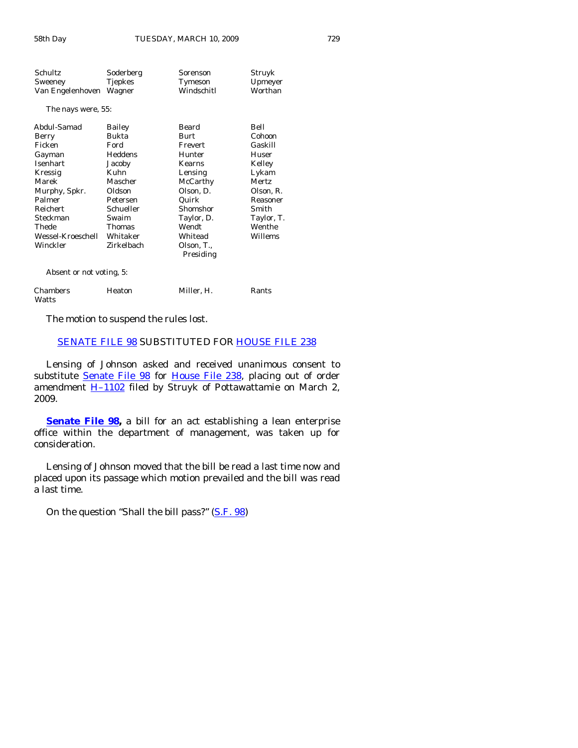| Schultz                   | Soderberg     | Sorenson                | Struyk     |
|---------------------------|---------------|-------------------------|------------|
| Sweeney                   | Tjepkes       | Tymeson                 | Upmeyer    |
| Van Engelenhoven          | Wagner        | Windschitl              | Worthan    |
| The nays were, 55:        |               |                         |            |
| Abdul-Samad               | Bailey        | Beard                   | Bell       |
| Berry                     | Bukta         | Burt                    | Cohoon     |
| Ficken                    | Ford          | Frevert                 | Gaskill    |
| Gayman                    | Heddens       | Hunter                  | Huser      |
| Isenhart                  | Jacoby        | Kearns                  | Kelley     |
| Kressig                   | Kuhn          | Lensing                 | Lykam      |
| Marek                     | Mascher       | McCarthy                | Mertz      |
| Murphy, Spkr.             | Oldson        | Olson, D.               | Olson, R.  |
| Palmer                    | Petersen      | Quirk                   | Reasoner   |
| Reichert                  | Schueller     | Shomshor                | Smith      |
| Steckman                  | Swaim         | Taylor, D.              | Taylor, T. |
| Thede                     | <b>Thomas</b> | Wendt                   | Wenthe     |
| Wessel-Kroeschell         | Whitaker      | Whitead                 | Willems    |
| Winckler                  | Zirkelbach    | Olson, T.,<br>Presiding |            |
| Alexandran madeirathaw E. |               |                         |            |

Absent or not voting, 5:

| Chambers | Heaton | Miller. H. | Rants |
|----------|--------|------------|-------|
| Watts    |        |            |       |

The motion to suspend the rules lost.

# [SENATE FILE 98](http://coolice.legis.state.ia.us/Cool-ICE/default.asp?Category=billinfo&Service=Billbook&frame=1&GA=83&hbill=SF98) SUBSTITUTED FOR [HOUSE FILE 238](http://coolice.legis.state.ia.us/Cool-ICE/default.asp?Category=billinfo&Service=Billbook&frame=1&GA=83&hbill=HF238)

 Lensing of Johnson asked and received unanimous consent to substitute [Senate File 98](http://coolice.legis.state.ia.us/Cool-ICE/default.asp?Category=billinfo&Service=Billbook&frame=1&GA=83&hbill=SF98) for [House File 238,](http://coolice.legis.state.ia.us/Cool-ICE/default.asp?Category=billinfo&Service=Billbook&frame=1&GA=83&hbill=HF238) placing out of order amendment  $\underline{H-1102}$  filed by Struyk of Pottawattamie on March 2, 2009.

**Senate File 98**, a bill for an act establishing a lean enterprise office within the department of management, was taken up for consideration.

 Lensing of Johnson moved that the bill be read a last time now and placed upon its passage which motion prevailed and the bill was read a last time.

On the question "Shall the bill pass?" [\(S.F. 98](http://coolice.legis.state.ia.us/Cool-ICE/default.asp?Category=billinfo&Service=Billbook&frame=1&GA=83&hbill=SF98))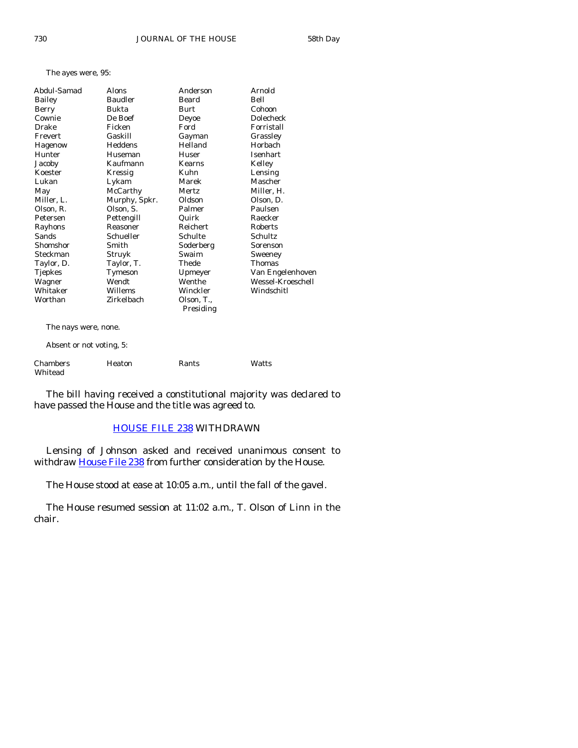The ayes were, 95:

| Abdul-Samad    | Alons          | Anderson   | Arnold            |
|----------------|----------------|------------|-------------------|
| <b>Bailey</b>  | <b>Baudler</b> | Beard      | Bell              |
| Berry          | Bukta          | Burt       | Cohoon            |
| Cownie         | De Boef        | Deyoe      | <b>Dolecheck</b>  |
| Drake          | Ficken         | Ford       | Forristall        |
| Frevert        | Gaskill        | Gayman     | Grassley          |
| Hagenow        | Heddens        | Helland    | Horbach           |
| Hunter         | Huseman        | Huser      | Isenhart          |
| Jacoby         | Kaufmann       | Kearns     | Kelley            |
| Koester        | Kressig        | Kuhn       | Lensing           |
| Lukan          | Lykam          | Marek      | Mascher           |
| May            | McCarthy       | Mertz      | Miller, H.        |
| Miller, L.     | Murphy, Spkr.  | Oldson     | Olson, D.         |
| Olson, R.      | Olson, S.      | Palmer     | Paulsen           |
| Petersen       | Pettengill     | Quirk      | Raecker           |
| Rayhons        | Reasoner       | Reichert   | Roberts           |
| Sands          | Schueller      | Schulte    | Schultz           |
| Shomshor       | Smith          | Soderberg  | Sorenson          |
| Steckman       | Struyk         | Swaim      | Sweeney           |
| Taylor, D.     | Taylor, T.     | Thede      | Thomas            |
| <b>Tjepkes</b> | Tymeson        | Upmeyer    | Van Engelenhoven  |
| Wagner         | Wendt          | Wenthe     | Wessel-Kroeschell |
| Whitaker       | Willems        | Winckler   | Windschitl        |
| Worthan        | Zirkelbach     | Olson, T., |                   |
|                |                | Presiding  |                   |
|                |                |            |                   |

The nays were, none.

Absent or not voting, 5:

| Chambers | Heaton | Rants | Watts |
|----------|--------|-------|-------|
| Whitead  |        |       |       |

 The bill having received a constitutional majority was declared to have passed the House and the title was agreed to.

# [HOUSE FILE 238](http://coolice.legis.state.ia.us/Cool-ICE/default.asp?Category=billinfo&Service=Billbook&frame=1&GA=83&hbill=HF238) WITHDRAWN

 Lensing of Johnson asked and received unanimous consent to withdraw [House File 238](http://coolice.legis.state.ia.us/Cool-ICE/default.asp?Category=billinfo&Service=Billbook&frame=1&GA=83&hbill=HF238) from further consideration by the House.

The House stood at ease at 10:05 a.m., until the fall of the gavel.

 The House resumed session at 11:02 a.m., T. Olson of Linn in the chair.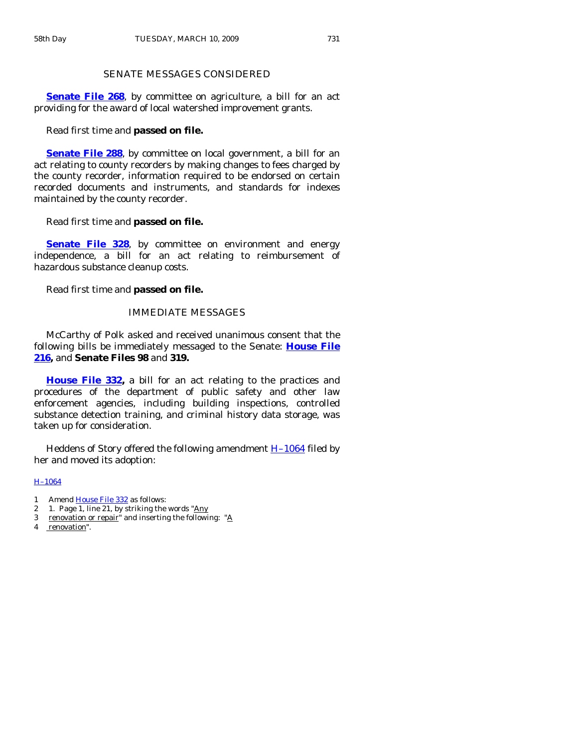# SENATE MESSAGES CONSIDERED

**[Senate File 268](http://coolice.legis.state.ia.us/Cool-ICE/default.asp?Category=billinfo&Service=Billbook&frame=1&GA=83&hbill=SF268)**, by committee on agriculture, a bill for an act providing for the award of local watershed improvement grants.

#### Read first time and **passed on file.**

**[Senate File 288](http://coolice.legis.state.ia.us/Cool-ICE/default.asp?Category=billinfo&Service=Billbook&frame=1&GA=83&hbill=SF288)**, by committee on local government, a bill for an act relating to county recorders by making changes to fees charged by the county recorder, information required to be endorsed on certain recorded documents and instruments, and standards for indexes maintained by the county recorder.

#### Read first time and **passed on file.**

**[Senate File 328](http://coolice.legis.state.ia.us/Cool-ICE/default.asp?Category=billinfo&Service=Billbook&frame=1&GA=83&hbill=SF328)**, by committee on environment and energy independence, a bill for an act relating to reimbursement of hazardous substance cleanup costs.

Read first time and **passed on file.** 

# IMMEDIATE MESSAGES

 McCarthy of Polk asked and received unanimous consent that the following bills be immediately messaged to the Senate: **[House File](http://coolice.legis.state.ia.us/Cool-ICE/default.asp?Category=billinfo&Service=Billbook&frame=1&GA=83&hbill=HF216)  [216](http://coolice.legis.state.ia.us/Cool-ICE/default.asp?Category=billinfo&Service=Billbook&frame=1&GA=83&hbill=HF216),** and **Senate Files 98** and **319.**

**[House File 332](http://coolice.legis.state.ia.us/Cool-ICE/default.asp?Category=billinfo&Service=Billbook&frame=1&GA=83&hbill=HF332),** a bill for an act relating to the practices and procedures of the department of public safety and other law enforcement agencies, including building inspections, controlled substance detection training, and criminal history data storage, was taken up for consideration.

 Heddens of Story offered the following amendment [H–1064](http://coolice.legis.state.ia.us/Cool-ICE/default.asp?Category=billinfo&Service=Billbook&frame=1&GA=83&hbill=H1064) filed by her and moved its adoption:

#### [H–1064](http://coolice.legis.state.ia.us/Cool-ICE/default.asp?Category=billinfo&Service=Billbook&frame=1&GA=83&hbill=H1064)

- 1 Amend [House File 332](http://coolice.legis.state.ia.us/Cool-ICE/default.asp?Category=billinfo&Service=Billbook&frame=1&GA=83&hbill=HF332) as follows:
- 2 1. Page 1, line 21, by striking the words "Any
- 3 renovation or repair" and inserting the following: "A
- 4 renovation".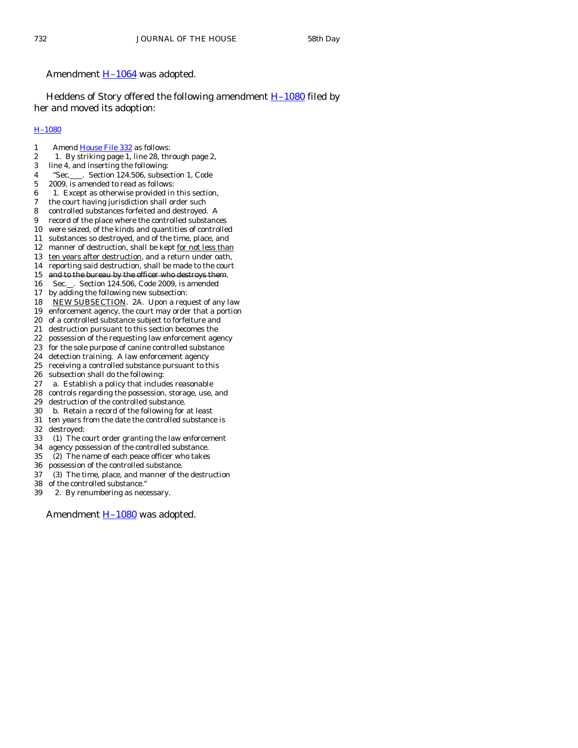## Amendment [H–1064](http://coolice.legis.state.ia.us/Cool-ICE/default.asp?Category=billinfo&Service=Billbook&frame=1&GA=83&hbill=H1064) was adopted.

Heddens of Story offered the following amendment  $H-1080$  filed by her and moved its adoption:

## [H–1080](http://coolice.legis.state.ia.us/Cool-ICE/default.asp?Category=billinfo&Service=Billbook&frame=1&GA=83&hbill=H1080)

- 1 Amend [House File 332](http://coolice.legis.state.ia.us/Cool-ICE/default.asp?Category=billinfo&Service=Billbook&frame=1&GA=83&hbill=HF332) as follows:
- 2 1. By striking page 1, line 28, through page 2,
- 3 line 4, and inserting the following:
- 4 "Sec.\_\_\_\_. Section 124.506, subsection 1, Code
- 5 2009, is amended to read as follows:
- $6$  1. Except as otherwise provided in this section,
- 7 the court having jurisdiction shall order such
- 8 controlled substances forfeited and destroyed. A
- 9 record of the place where the controlled substances
- 10 were seized, of the kinds and quantities of controlled 11 substances so destroyed, and of the time, place, and
- 12 manner of destruction, shall be kept for not less than
- 13 ten years after destruction, and a return under oath,
- 14 reporting said destruction, shall be made to the court
- 15 and to the bureau by the officer who destroys them.
- 16 Sec. . Section 124.506, Code 2009, is amended
- 17 by adding the following new subsection:
- 18 NEW SUBSECTION. 2A. Upon a request of any law
- 19 enforcement agency, the court may order that a portion
- 20 of a controlled substance subject to forfeiture and
- 21 destruction pursuant to this section becomes the
- 22 possession of the requesting law enforcement agency
- 23 for the sole purpose of canine controlled substance
- 24 detection training. A law enforcement agency
- 25 receiving a controlled substance pursuant to this
- 26 subsection shall do the following:
- 27 a. Establish a policy that includes reasonable
- 28 controls regarding the possession, storage, use, and
- 29 destruction of the controlled substance.
- 30 b. Retain a record of the following for at least
- 31 ten years from the date the controlled substance is 32 destroyed:
- 33 (1) The court order granting the law enforcement
- 34 agency possession of the controlled substance.
- 35 (2) The name of each peace officer who takes
- 36 possession of the controlled substance.
- 37 (3) The time, place, and manner of the destruction
- 38 of the controlled substance."
- 39 2. By renumbering as necessary.

Amendment **H**-1080 was adopted.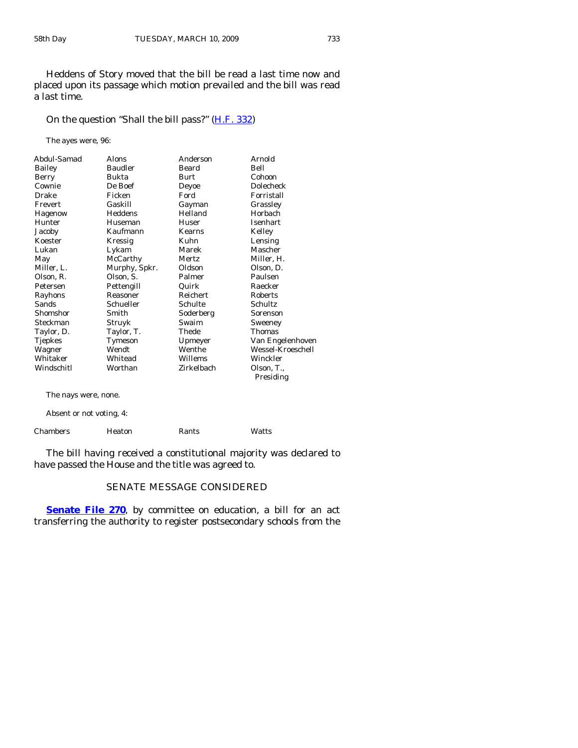Heddens of Story moved that the bill be read a last time now and placed upon its passage which motion prevailed and the bill was read a last time.

# On the question "Shall the bill pass?" [\(H.F. 332](http://coolice.legis.state.ia.us/Cool-ICE/default.asp?Category=billinfo&Service=Billbook&frame=1&GA=83&hbill=HF332))

The ayes were, 96:

| Abdul-Samad    | <b>Alons</b>   | Anderson   | Arnold            |
|----------------|----------------|------------|-------------------|
| Bailey         | <b>Baudler</b> | Beard      | Bell              |
| Berry          | Bukta          | Burt       | Cohoon            |
| Cownie         | De Boef        | Deyoe      | Dolecheck         |
| Drake          | Ficken         | Ford       | Forristall        |
| Frevert        | Gaskill        | Gayman     | Grassley          |
| Hagenow        | Heddens        | Helland    | Horbach           |
| Hunter         | Huseman        | Huser      | Isenhart          |
| Jacoby         | Kaufmann       | Kearns     | Kelley            |
| Koester        | Kressig        | Kuhn       | Lensing           |
| Lukan          | Lykam          | Marek      | Mascher           |
| May            | McCarthy       | Mertz      | Miller, H.        |
| Miller, L.     | Murphy, Spkr.  | Oldson     | Olson, D.         |
| Olson, R.      | Olson, S.      | Palmer     | Paulsen           |
| Petersen       | Pettengill     | Quirk      | Raecker           |
| Rayhons        | Reasoner       | Reichert   | Roberts           |
| Sands          | Schueller      | Schulte    | Schultz           |
| Shomshor       | Smith          | Soderberg  | Sorenson          |
| Steckman       | Struyk         | Swaim      | Sweeney           |
| Taylor, D.     | Taylor, T.     | Thede      | <b>Thomas</b>     |
| <b>Tjepkes</b> | Tymeson        | Upmeyer    | Van Engelenhoven  |
| Wagner         | Wendt          | Wenthe     | Wessel-Kroeschell |
| Whitaker       | Whitead        | Willems    | Winckler          |
| Windschitl     | Worthan        | Zirkelbach | Olson, T.,        |
|                |                |            | Presiding         |
|                |                |            |                   |

The nays were, none.

Absent or not voting, 4:

| Chambers<br>Heaton | Rants | Watts |
|--------------------|-------|-------|
|--------------------|-------|-------|

 The bill having received a constitutional majority was declared to have passed the House and the title was agreed to.

# SENATE MESSAGE CONSIDERED

**[Senate File 270](http://coolice.legis.state.ia.us/Cool-ICE/default.asp?Category=billinfo&Service=Billbook&frame=1&GA=83&hbill=SF270)**, by committee on education, a bill for an act transferring the authority to register postsecondary schools from the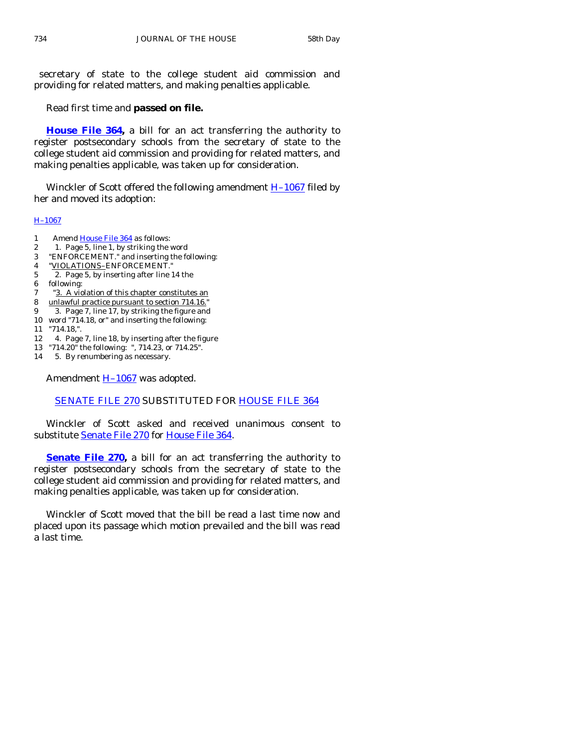secretary of state to the college student aid commission and providing for related matters, and making penalties applicable.

Read first time and **passed on file.** 

**[House File 364](http://coolice.legis.state.ia.us/Cool-ICE/default.asp?Category=billinfo&Service=Billbook&frame=1&GA=83&hbill=HF364),** a bill for an act transferring the authority to register postsecondary schools from the secretary of state to the college student aid commission and providing for related matters, and making penalties applicable, was taken up for consideration.

Winckler of Scott offered the following amendment  $H-1067$  filed by her and moved its adoption:

#### [H–1067](http://coolice.legis.state.ia.us/Cool-ICE/default.asp?Category=billinfo&Service=Billbook&frame=1&GA=83&hbill=H1067)

- 1 Amend [House File 364](http://coolice.legis.state.ia.us/Cool-ICE/default.asp?Category=billinfo&Service=Billbook&frame=1&GA=83&hbill=HF364) as follows:
- 2 1. Page 5, line 1, by striking the word
- 3 "ENFORCEMENT." and inserting the following:
- 4 "VIOLATIONS–ENFORCEMENT."
- 5 2. Page 5, by inserting after line 14 the
- 6 following:
- 7 "3. A violation of this chapter constitutes an
- 8 unlawful practice pursuant to section 714.16."
- 9 3. Page 7, line 17, by striking the figure and
- 10 word "714.18, or" and inserting the following:
- 11 "714.18,".
- 12 4. Page 7, line 18, by inserting after the figure
- 13 "714.20" the following: ", 714.23, or 714.25".
- 14 5. By renumbering as necessary.

Amendment **H-1067** was adopted.

# [SENATE FILE 270](http://coolice.legis.state.ia.us/Cool-ICE/default.asp?Category=billinfo&Service=Billbook&frame=1&GA=83&hbill=SF270) SUBSTITUTED FOR [HOUSE FILE 364](http://coolice.legis.state.ia.us/Cool-ICE/default.asp?Category=billinfo&Service=Billbook&frame=1&GA=83&hbill=HF364)

 Winckler of Scott asked and received unanimous consent to substitute [Senate File 270](http://coolice.legis.state.ia.us/Cool-ICE/default.asp?Category=billinfo&Service=Billbook&frame=1&GA=83&hbill=SF270) for [House File 364](http://coolice.legis.state.ia.us/Cool-ICE/default.asp?Category=billinfo&Service=Billbook&frame=1&GA=83&hbill=HF364).

**[Senate File 270,](http://coolice.legis.state.ia.us/Cool-ICE/default.asp?Category=billinfo&Service=Billbook&frame=1&GA=83&hbill=SF270)** a bill for an act transferring the authority to register postsecondary schools from the secretary of state to the college student aid commission and providing for related matters, and making penalties applicable, was taken up for consideration.

 Winckler of Scott moved that the bill be read a last time now and placed upon its passage which motion prevailed and the bill was read a last time.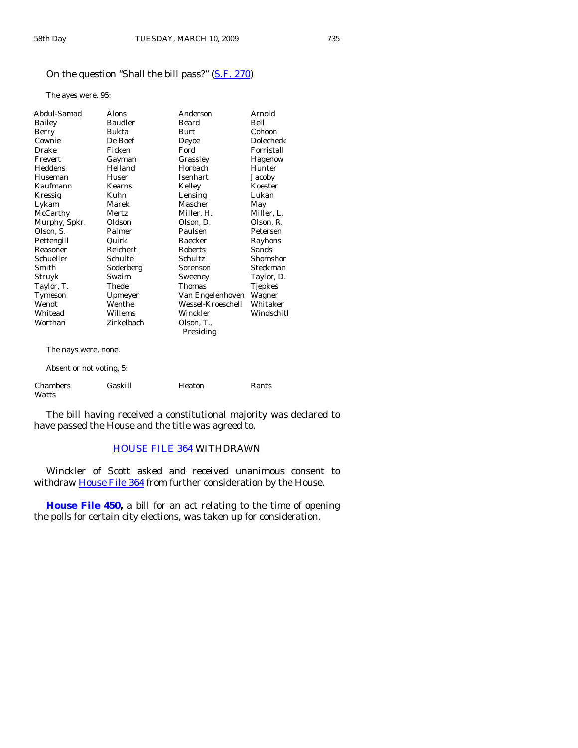# On the question "Shall the bill pass?" [\(S.F. 270](http://coolice.legis.state.ia.us/Cool-ICE/default.asp?Category=billinfo&Service=Billbook&frame=1&GA=83&hbill=SF270))

The ayes were, 95:

| Abdul-Samad              | Alons           | Anderson          | Arnold           |
|--------------------------|-----------------|-------------------|------------------|
| Bailey                   | <b>Baudler</b>  | Beard             | Bell             |
| Berry                    | Bukta           | <b>Burt</b>       | Cohoon           |
| Cownie                   | De Boef         | Deyoe             | <b>Dolecheck</b> |
| Drake                    | Ficken          | Ford              | Forristall       |
| Frevert                  | Gayman          | Grassley          | Hagenow          |
| Heddens                  | Helland         | <b>Horbach</b>    | Hunter           |
| Huseman                  | Huser           | <b>Isenhart</b>   | Jacoby           |
| Kaufmann                 | <b>Kearns</b>   | Kelley            | Koester          |
| Kressig                  | Kuhn            | Lensing           | Lukan            |
| Lykam                    | Marek           | Mascher           | May              |
| McCarthy                 | Mertz           | Miller, H.        | Miller, L.       |
| Murphy, Spkr.            | Oldson          | Olson, D.         | Olson, R.        |
| Olson, S.                | Palmer          | Paulsen           | Petersen         |
| Pettengill               | Quirk           | Raecker           | Rayhons          |
| Reasoner                 | <b>Reichert</b> | <b>Roberts</b>    | Sands            |
| Schueller                | Schulte         | Schultz           | Shomshor         |
| Smith                    | Soderberg       | Sorenson          | Steckman         |
| Struyk                   | Swaim           | Sweeney           | Taylor, D.       |
| Taylor, T.               | Thede           | Thomas            | Tjepkes          |
| Tymeson                  | Upmeyer         | Van Engelenhoven  | Wagner           |
| Wendt                    | Wenthe          | Wessel-Kroeschell | Whitaker         |
| Whitead                  | Willems         | Winckler          | Windschitl       |
| Worthan                  | Zirkelbach      | Olson, T.,        |                  |
|                          |                 | Presiding         |                  |
| The nays were, none.     |                 |                   |                  |
| Absent or not voting, 5: |                 |                   |                  |

| <b>Chambers</b><br>Watts | Gaskill | Heaton | Rants |
|--------------------------|---------|--------|-------|

 The bill having received a constitutional majority was declared to have passed the House and the title was agreed to.

# [HOUSE FILE 364](http://coolice.legis.state.ia.us/Cool-ICE/default.asp?Category=billinfo&Service=Billbook&frame=1&GA=83&hbill=HF364) WITHDRAWN

 Winckler of Scott asked and received unanimous consent to withdraw [House File 364](http://coolice.legis.state.ia.us/Cool-ICE/default.asp?Category=billinfo&Service=Billbook&frame=1&GA=83&hbill=HF364) from further consideration by the House.

**[House File 450](http://coolice.legis.state.ia.us/Cool-ICE/default.asp?Category=billinfo&Service=Billbook&frame=1&GA=83&hbill=HF450),** a bill for an act relating to the time of opening the polls for certain city elections, was taken up for consideration.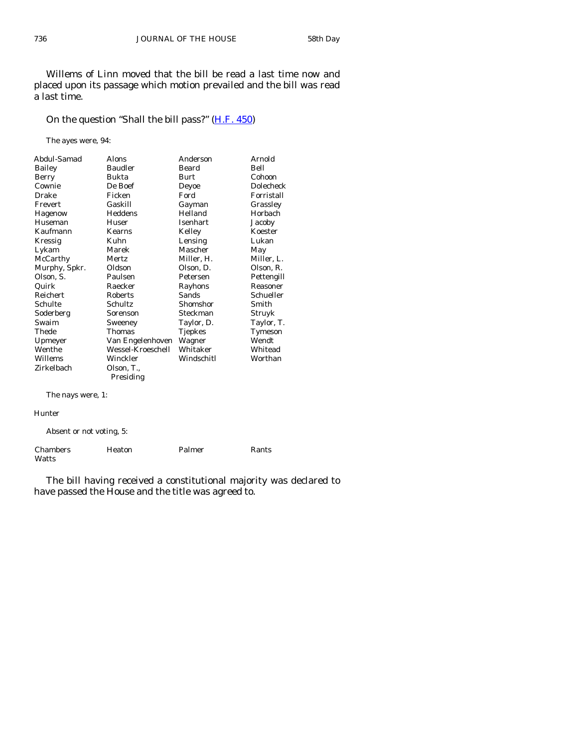Willems of Linn moved that the bill be read a last time now and placed upon its passage which motion prevailed and the bill was read a last time.

# On the question "Shall the bill pass?" [\(H.F. 450](http://coolice.legis.state.ia.us/Cool-ICE/default.asp?Category=billinfo&Service=Billbook&frame=1&GA=83&hbill=HF450))

The ayes were, 94:

| Abdul-Samad   | Alons             | Anderson       | Arnold     |
|---------------|-------------------|----------------|------------|
| Bailey        | <b>Baudler</b>    | Beard          | Bell       |
| Berry         | Bukta             | Burt           | Cohoon     |
| Cownie        | De Boef           | Deyoe          | Dolecheck  |
| Drake         | Ficken            | Ford           | Forristall |
| Frevert       | Gaskill           | Gayman         | Grassley   |
| Hagenow       | Heddens           | Helland        | Horbach    |
| Huseman       | Huser             | Isenhart       | Jacoby     |
| Kaufmann      | <b>Kearns</b>     | Kelley         | Koester    |
| Kressig       | Kuhn              | Lensing        | Lukan      |
| Lykam         | Marek             | Mascher        | May        |
| McCarthy      | Mertz             | Miller, H.     | Miller, L. |
| Murphy, Spkr. | Oldson            | Olson, D.      | Olson, R.  |
| Olson, S.     | Paulsen           | Petersen       | Pettengill |
| Quirk         | Raecker           | Rayhons        | Reasoner   |
| Reichert      | Roberts           | Sands          | Schueller  |
| Schulte       | Schultz           | Shomshor       | Smith      |
| Soderberg     | Sorenson          | Steckman       | Struyk     |
| Swaim         | Sweeney           | Taylor, D.     | Taylor, T. |
| Thede         | <b>Thomas</b>     | <b>Tjepkes</b> | Tymeson    |
| Upmeyer       | Van Engelenhoven  | Wagner         | Wendt      |
| Wenthe        | Wessel-Kroeschell | Whitaker       | Whitead    |
| Willems       | Winckler          | Windschitl     | Worthan    |
| Zirkelbach    | Olson, T.,        |                |            |
|               | Presiding         |                |            |

The nays were, 1:

#### Hunter

Absent or not voting, 5:

| Chambers | Heaton | Palmer | Rants |
|----------|--------|--------|-------|
| Watts    |        |        |       |

 The bill having received a constitutional majority was declared to have passed the House and the title was agreed to.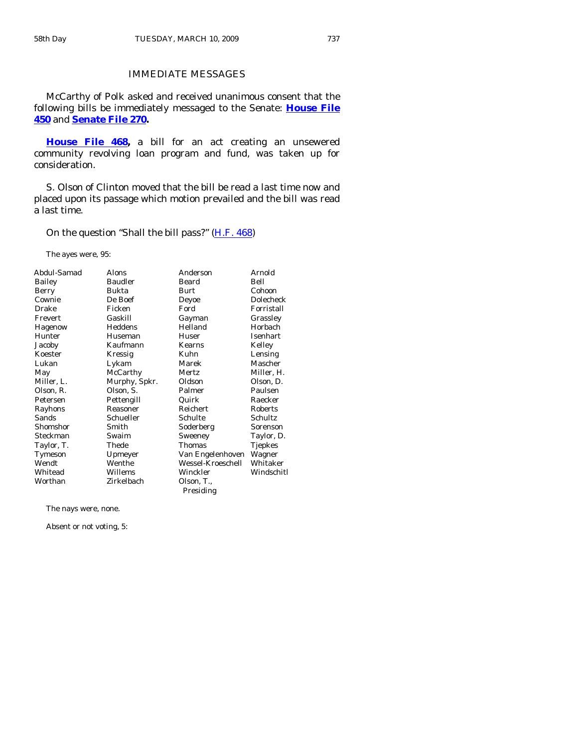# IMMEDIATE MESSAGES

 McCarthy of Polk asked and received unanimous consent that the following bills be immediately messaged to the Senate: **[House File](http://coolice.legis.state.ia.us/Cool-ICE/default.asp?Category=billinfo&Service=Billbook&frame=1&GA=83&hbill=HF450) [450](http://coolice.legis.state.ia.us/Cool-ICE/default.asp?Category=billinfo&Service=Billbook&frame=1&GA=83&hbill=HF450)** and **[Senate File 270.](http://coolice.legis.state.ia.us/Cool-ICE/default.asp?Category=billinfo&Service=Billbook&frame=1&GA=83&hbill=SF270)**

**[House File 468](http://coolice.legis.state.ia.us/Cool-ICE/default.asp?Category=billinfo&Service=Billbook&frame=1&GA=83&hbill=HF468),** a bill for an act creating an unsewered community revolving loan program and fund, was taken up for consideration.

 S. Olson of Clinton moved that the bill be read a last time now and placed upon its passage which motion prevailed and the bill was read a last time.

On the question "Shall the bill pass?" [\(H.F. 468](http://coolice.legis.state.ia.us/Cool-ICE/default.asp?Category=billinfo&Service=Billbook&frame=1&GA=83&hbill=HF468))

The ayes were, 95:

| Abdul-Samad | Alons          | Anderson          | Arnold          |
|-------------|----------------|-------------------|-----------------|
|             | <b>Baudler</b> | Beard             | Bell            |
| Bailey      |                |                   |                 |
| Berry       | Bukta          | Burt              | Cohoon          |
| Cownie      | De Boef        | Deyoe             | Dolecheck       |
| Drake       | Ficken         | Ford              | Forristall      |
| Frevert     | Gaskill        | Gayman            | Grassley        |
| Hagenow     | Heddens        | Helland           | Horbach         |
| Hunter      | Huseman        | Huser             | <b>Isenhart</b> |
| Jacoby      | Kaufmann       | Kearns            | Kelley          |
| Koester     | Kressig        | Kuhn              | Lensing         |
| Lukan       | Lykam          | Marek             | Mascher         |
| May         | McCarthy       | Mertz             | Miller, H.      |
| Miller, L.  | Murphy, Spkr.  | Oldson            | Olson, D.       |
| Olson, R.   | Olson, S.      | Palmer            | Paulsen         |
| Petersen    | Pettengill     | Quirk             | Raecker         |
| Rayhons     | Reasoner       | Reichert          | Roberts         |
| Sands       | Schueller      | Schulte           | Schultz         |
| Shomshor    | Smith          | Soderberg         | Sorenson        |
| Steckman    | Swaim          | Sweeney           | Taylor, D.      |
| Taylor, T.  | Thede          | Thomas            | Tjepkes         |
| Tymeson     | Upmeyer        | Van Engelenhoven  | Wagner          |
| Wendt       | Wenthe         | Wessel-Kroeschell | Whitaker        |
| Whitead     | Willems        | Winckler          | Windschitl      |
| Worthan     | Zirkelbach     | Olson, T.,        |                 |
|             |                | Presiding         |                 |

The nays were, none.

Absent or not voting, 5: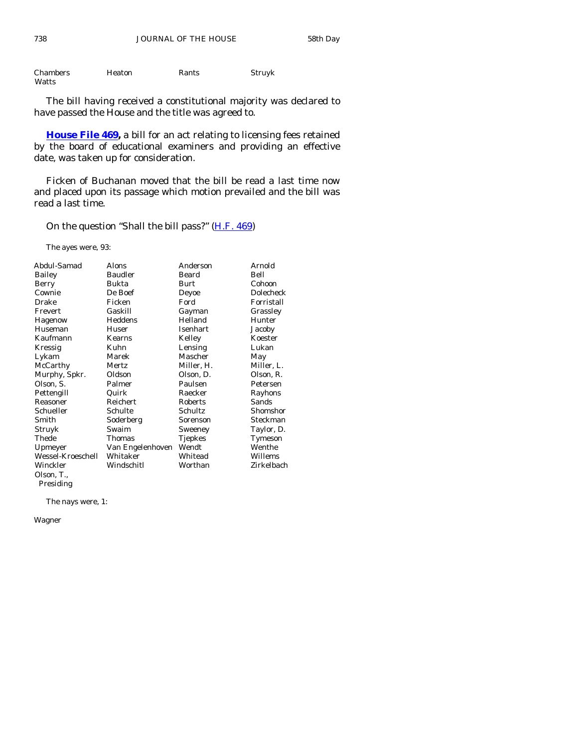| <b>Chambers</b> | Heaton | Rants | Struyk |
|-----------------|--------|-------|--------|
| Watts           |        |       |        |

 The bill having received a constitutional majority was declared to have passed the House and the title was agreed to.

**[House File 469,](http://coolice.legis.state.ia.us/Cool-ICE/default.asp?Category=billinfo&Service=Billbook&frame=1&GA=83&hbill=HF469)** a bill for an act relating to licensing fees retained by the board of educational examiners and providing an effective date, was taken up for consideration.

 Ficken of Buchanan moved that the bill be read a last time now and placed upon its passage which motion prevailed and the bill was read a last time.

On the question "Shall the bill pass?" [\(H.F. 469](http://coolice.legis.state.ia.us/Cool-ICE/default.asp?Category=billinfo&Service=Billbook&frame=1&GA=83&hbill=HF469))

The ayes were, 93:

| Abdul-Samad       | Alons            | Anderson   | Arnold     |
|-------------------|------------------|------------|------------|
| Bailey            | <b>Baudler</b>   | Beard      | Bell       |
| Berry             | Bukta            | Burt       | Cohoon     |
| Cownie            | De Boef          | Deyoe      | Dolecheck  |
| Drake             | Ficken           | Ford       | Forristall |
| Frevert           | Gaskill          | Gayman     | Grassley   |
| Hagenow           | Heddens          | Helland    | Hunter     |
| Huseman           | Huser            | Isenhart   | Jacoby     |
| Kaufmann          | Kearns           | Kelley     | Koester    |
| Kressig           | Kuhn             | Lensing    | Lukan      |
| Lykam             | Marek            | Mascher    | May        |
| McCarthy          | Mertz            | Miller, H. | Miller, L. |
| Murphy, Spkr.     | Oldson           | Olson, D.  | Olson, R.  |
| Olson, S.         | Palmer           | Paulsen    | Petersen   |
| Pettengill        | Quirk            | Raecker    | Rayhons    |
| Reasoner          | Reichert         | Roberts    | Sands      |
| Schueller         | Schulte          | Schultz    | Shomshor   |
| Smith             | Soderberg        | Sorenson   | Steckman   |
| Struyk            | Swaim            | Sweeney    | Taylor, D. |
| Thede             | Thomas           | Tjepkes    | Tymeson    |
| Upmeyer           | Van Engelenhoven | Wendt      | Wenthe     |
| Wessel-Kroeschell | Whitaker         | Whitead    | Willems    |
| Winckler          | Windschitl       | Worthan    | Zirkelbach |
| Olson, T.,        |                  |            |            |
| Presiding         |                  |            |            |

The nays were, 1:

Wagner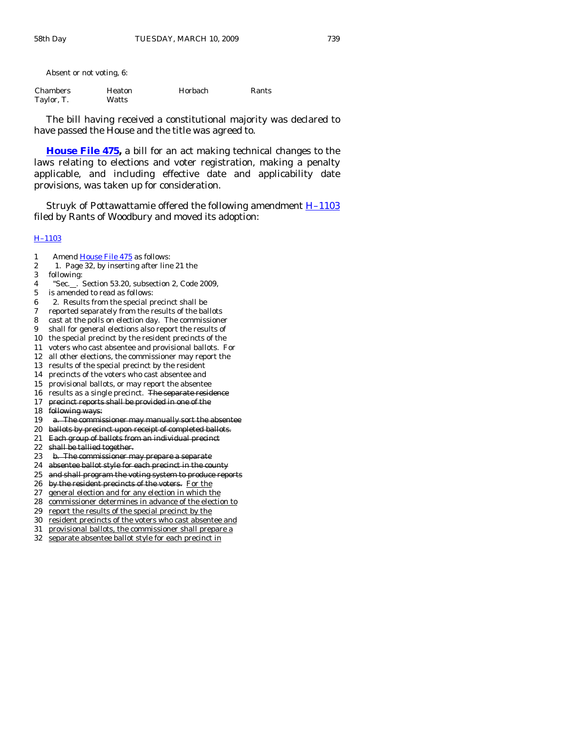Absent or not voting, 6:

| <b>Chambers</b> | <b>Heaton</b> | Horbach | Rants |
|-----------------|---------------|---------|-------|
| Taylor, T.      | Watts         |         |       |

 The bill having received a constitutional majority was declared to have passed the House and the title was agreed to.

**[House File 475,](http://coolice.legis.state.ia.us/Cool-ICE/default.asp?Category=billinfo&Service=Billbook&frame=1&GA=83&hbill=HF475)** a bill for an act making technical changes to the laws relating to elections and voter registration, making a penalty applicable, and including effective date and applicability date provisions, was taken up for consideration.

Struyk of Pottawattamie offered the following amendment  $H-1103$ filed by Rants of Woodbury and moved its adoption:

#### [H–1103](http://coolice.legis.state.ia.us/Cool-ICE/default.asp?Category=billinfo&Service=Billbook&frame=1&GA=83&hbill=H1103)

- 1 Amend [House File 475](http://coolice.legis.state.ia.us/Cool-ICE/default.asp?Category=billinfo&Service=Billbook&frame=1&GA=83&hbill=HF475) as follows:
- 2 1. Page 32, by inserting after line 21 the
- 3 following:
- 4 "Sec. . Section 53.20, subsection 2, Code 2009,
- 5 is amended to read as follows:
- 6 2. Results from the special precinct shall be
- 7 reported separately from the results of the ballots
- 8 cast at the polls on election day. The commissioner
- 9 shall for general elections also report the results of
- 10 the special precinct by the resident precincts of the
- 11 voters who cast absentee and provisional ballots. For
- 12 all other elections, the commissioner may report the
- 13 results of the special precinct by the resident
- 14 precincts of the voters who cast absentee and
- 15 provisional ballots, or may report the absentee
- 16 results as a single precinct. The separate residence
- 17 precinct reports shall be provided in one of the
- 18 following ways:
- 19 a. The commissioner may manually sort the absentee
- 20 ballots by precinct upon receipt of completed ballots.
- 21 Each group of ballots from an individual precinct
- $22$  shall be tallied together.
- 23 b. The commissioner may prepare a separate
- 24 absentee ballot style for each precinct in the county
- 25 and shall program the voting system to produce reports
- 26 by the resident precincts of the voters. For the
- 27 general election and for any election in which the
- 28 commissioner determines in advance of the election to
- 29 report the results of the special precinct by the
- 30 resident precincts of the voters who cast absentee and
- 31 provisional ballots, the commissioner shall prepare a
- 32 separate absentee ballot style for each precinct in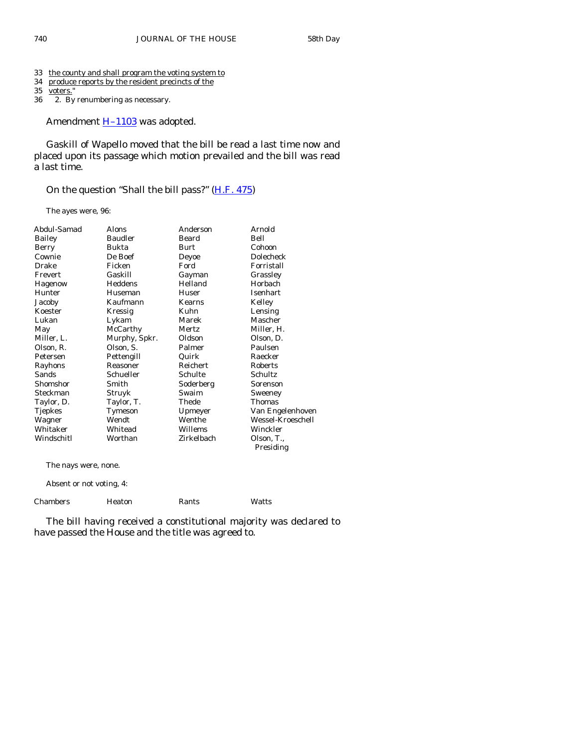- 33 the county and shall program the voting system to
- 34 produce reports by the resident precincts of the
- 35 <u>voters.</u>"<br>36 2. By
- 2. By renumbering as necessary.

Amendment **H-1103** was adopted.

 Gaskill of Wapello moved that the bill be read a last time now and placed upon its passage which motion prevailed and the bill was read a last time.

On the question "Shall the bill pass?" [\(H.F. 475](http://coolice.legis.state.ia.us/Cool-ICE/default.asp?Category=billinfo&Service=Billbook&frame=1&GA=83&hbill=HF475))

The ayes were, 96:

| Abdul-Samad    | Alons          | Anderson   | Arnold            |
|----------------|----------------|------------|-------------------|
| <b>Bailey</b>  | <b>Baudler</b> | Beard      | Bell              |
| Berry          | Bukta          | Burt       | Cohoon            |
| Cownie         | De Boef        | Deyoe      | <b>Dolecheck</b>  |
| Drake          | Ficken         | Ford       | Forristall        |
| Frevert        | Gaskill        | Gayman     | Grassley          |
| Hagenow        | Heddens        | Helland    | Horbach           |
| Hunter         | Huseman        | Huser      | Isenhart          |
| Jacoby         | Kaufmann       | Kearns     | Kelley            |
| Koester        | Kressig        | Kuhn       | Lensing           |
| Lukan          | Lykam          | Marek      | Mascher           |
| May            | McCarthy       | Mertz      | Miller, H.        |
| Miller, L.     | Murphy, Spkr.  | Oldson     | Olson, D.         |
| Olson, R.      | Olson, S.      | Palmer     | Paulsen           |
| Petersen       | Pettengill     | Quirk      | Raecker           |
| Rayhons        | Reasoner       | Reichert   | Roberts           |
| Sands          | Schueller      | Schulte    | Schultz           |
| Shomshor       | Smith          | Soderberg  | Sorenson          |
| Steckman       | Struyk         | Swaim      | Sweeney           |
| Taylor, D.     | Taylor, T.     | Thede      | Thomas            |
| <b>Tjepkes</b> | Tymeson        | Upmeyer    | Van Engelenhoven  |
| Wagner         | Wendt          | Wenthe     | Wessel-Kroeschell |
| Whitaker       | Whitead        | Willems    | Winckler          |
| Windschitl     | Worthan        | Zirkelbach | Olson, T.,        |
|                |                |            | Presiding         |
|                |                |            |                   |

The nays were, none.

Absent or not voting, 4:

| Chambers | Heaton | Rants | Watts |
|----------|--------|-------|-------|

 The bill having received a constitutional majority was declared to have passed the House and the title was agreed to.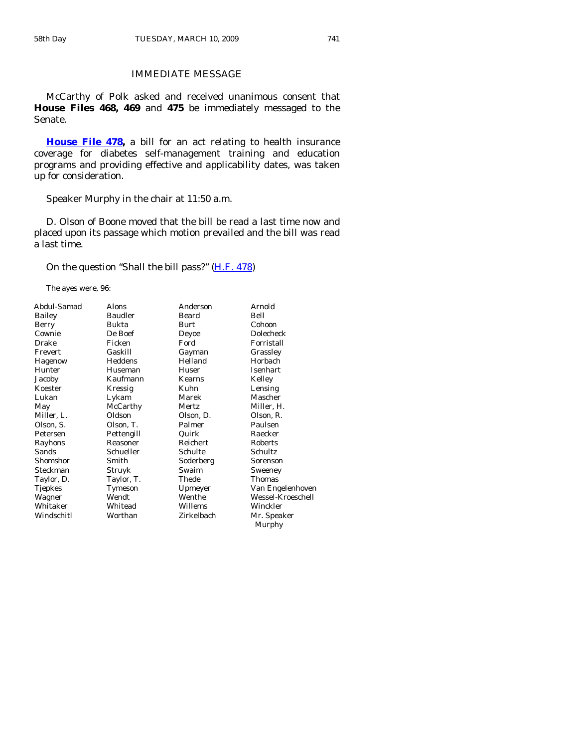# IMMEDIATE MESSAGE

 McCarthy of Polk asked and received unanimous consent that **House Files 468, 469** and **475** be immediately messaged to the Senate.

**[House File 478,](http://coolice.legis.state.ia.us/Cool-ICE/default.asp?Category=billinfo&Service=Billbook&frame=1&GA=83&hbill=HF478)** a bill for an act relating to health insurance coverage for diabetes self-management training and education programs and providing effective and applicability dates, was taken up for consideration.

Speaker Murphy in the chair at 11:50 a.m.

 D. Olson of Boone moved that the bill be read a last time now and placed upon its passage which motion prevailed and the bill was read a last time.

On the question "Shall the bill pass?" [\(H.F. 478](http://coolice.legis.state.ia.us/Cool-ICE/default.asp?Category=billinfo&Service=Billbook&frame=1&GA=83&hbill=HF478))

The ayes were, 96:

| Abdul-Samad    | Alons          | Anderson   | Arnold            |
|----------------|----------------|------------|-------------------|
| Bailey         | <b>Baudler</b> | Beard      | Bell              |
| Berry          | Bukta          | Burt       | Cohoon            |
| Cownie         | De Boef        | Deyoe      | <b>Dolecheck</b>  |
| Drake          | Ficken         | Ford       | Forristall        |
| Frevert        | Gaskill        | Gayman     | Grassley          |
| Hagenow        | Heddens        | Helland    | Horbach           |
| Hunter         | Huseman        | Huser      | Isenhart          |
| Jacoby         | Kaufmann       | Kearns     | Kelley            |
| Koester        | Kressig        | Kuhn       | Lensing           |
| Lukan          | Lykam          | Marek      | Mascher           |
| May            | McCarthy       | Mertz      | Miller, H.        |
| Miller, L.     | Oldson         | Olson, D.  | Olson, R.         |
| Olson, S.      | Olson, T.      | Palmer     | Paulsen           |
| Petersen       | Pettengill     | Quirk      | Raecker           |
| Rayhons        | Reasoner       | Reichert   | Roberts           |
| Sands          | Schueller      | Schulte    | Schultz           |
| Shomshor       | Smith          | Soderberg  | Sorenson          |
| Steckman       | Struyk         | Swaim      | Sweeney           |
| Taylor, D.     | Taylor, T.     | Thede      | Thomas            |
| <b>Tjepkes</b> | Tymeson        | Upmeyer    | Van Engelenhoven  |
| Wagner         | Wendt          | Wenthe     | Wessel-Kroeschell |
| Whitaker       | Whitead        | Willems    | Winckler          |
| Windschitl     | Worthan        | Zirkelbach | Mr. Speaker       |
|                |                |            | Murphy            |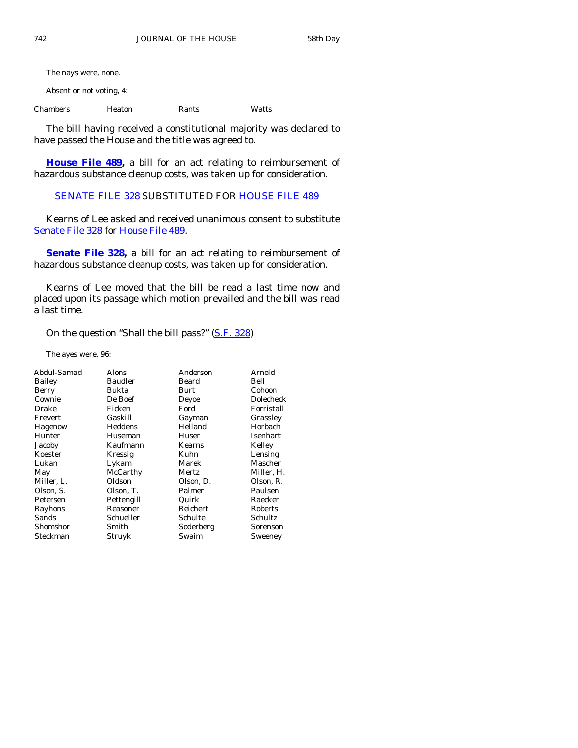The nays were, none.

Absent or not voting, 4:

Chambers Heaton Rants Watts

 The bill having received a constitutional majority was declared to have passed the House and the title was agreed to.

**[House File 489,](http://coolice.legis.state.ia.us/Cool-ICE/default.asp?Category=billinfo&Service=Billbook&frame=1&GA=83&hbill=HF489)** a bill for an act relating to reimbursement of hazardous substance cleanup costs, was taken up for consideration.

[SENATE FILE 328](http://coolice.legis.state.ia.us/Cool-ICE/default.asp?Category=billinfo&Service=Billbook&frame=1&GA=83&hbill=SF328) SUBSTITUTED FOR [HOUSE FILE 489](http://coolice.legis.state.ia.us/Cool-ICE/default.asp?Category=billinfo&Service=Billbook&frame=1&GA=83&hbill=HF489)

 Kearns of Lee asked and received unanimous consent to substitute [Senate File 328](http://coolice.legis.state.ia.us/Cool-ICE/default.asp?Category=billinfo&Service=Billbook&frame=1&GA=83&hbill=SF328) for [House File 489.](http://coolice.legis.state.ia.us/Cool-ICE/default.asp?Category=billinfo&Service=Billbook&frame=1&GA=83&hbill=HF489)

**[Senate File 328](http://coolice.legis.state.ia.us/Cool-ICE/default.asp?Category=billinfo&Service=Billbook&frame=1&GA=83&hbill=SF328)**, a bill for an act relating to reimbursement of hazardous substance cleanup costs, was taken up for consideration.

 Kearns of Lee moved that the bill be read a last time now and placed upon its passage which motion prevailed and the bill was read a last time.

On the question "Shall the bill pass?" [\(S.F. 328](http://coolice.legis.state.ia.us/Cool-ICE/default.asp?Category=billinfo&Service=Billbook&frame=1&GA=83&hbill=SF328))

The ayes were, 96:

| Abdul-Samad | Alons          | Anderson  | Arnold           |
|-------------|----------------|-----------|------------------|
| Bailey      | <b>Baudler</b> | Beard     | Bell             |
| Berry       | Bukta          | Burt      | Cohoon           |
| Cownie      | De Boef        | Deyoe     | <b>Dolecheck</b> |
| Drake       | Ficken         | Ford      | Forristall       |
| Frevert     | Gaskill        | Gayman    | Grassley         |
| Hagenow     | Heddens        | Helland   | Horbach          |
| Hunter      | Huseman        | Huser     | Isenhart         |
| Jacoby      | Kaufmann       | Kearns    | Kelley           |
| Koester     | Kressig        | Kuhn      | Lensing          |
| Lukan       | Lykam          | Marek     | Mascher          |
| May         | McCarthy       | Mertz     | Miller, H.       |
| Miller, L.  | Oldson         | Olson, D. | Olson, R.        |
| Olson, S.   | Olson, T.      | Palmer    | Paulsen          |
| Petersen    | Pettengill     | Quirk     | Raecker          |
| Rayhons     | Reasoner       | Reichert  | Roberts          |
| Sands       | Schueller      | Schulte   | Schultz          |
| Shomshor    | Smith          | Soderberg | Sorenson         |
| Steckman    | Struyk         | Swaim     | Sweeney          |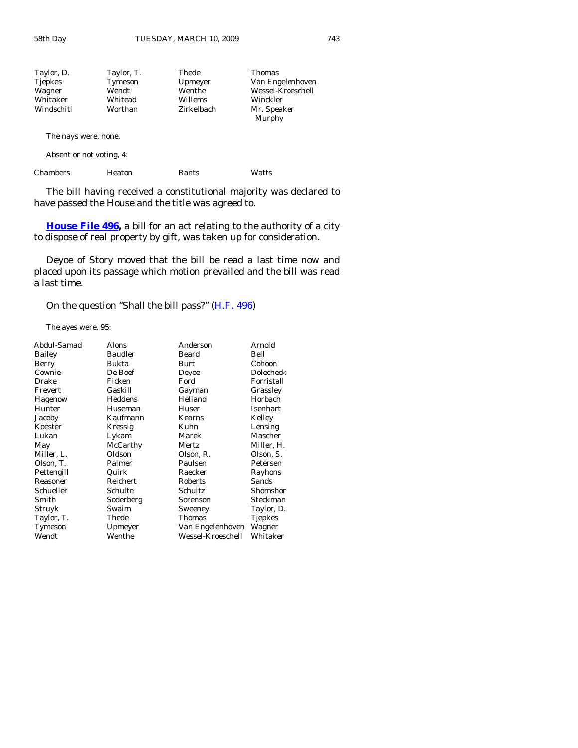| Taylor, D.     | Taylor, T. | Thede      | <b>Thomas</b>         |
|----------------|------------|------------|-----------------------|
| <b>Tjepkes</b> | Tymeson    | Upmeyer    | Van Engelenhoven      |
| Wagner         | Wendt      | Wenthe     | Wessel-Kroeschell     |
| Whitaker       | Whitead    | Willems    | Winckler              |
| Windschitl     | Worthan    | Zirkelbach | Mr. Speaker<br>Murphy |

The nays were, none.

Absent or not voting, 4:

| Chambers<br>Heaton<br>Rants | Watts |
|-----------------------------|-------|
|-----------------------------|-------|

 The bill having received a constitutional majority was declared to have passed the House and the title was agreed to.

**[House File 496](http://coolice.legis.state.ia.us/Cool-ICE/default.asp?Category=billinfo&Service=Billbook&frame=1&GA=83&hbill=HF496),** a bill for an act relating to the authority of a city to dispose of real property by gift, was taken up for consideration.

 Deyoe of Story moved that the bill be read a last time now and placed upon its passage which motion prevailed and the bill was read a last time.

On the question "Shall the bill pass?" [\(H.F. 496](http://coolice.legis.state.ia.us/Cool-ICE/default.asp?Category=billinfo&Service=Billbook&frame=1&GA=83&hbill=HF496))

The ayes were, 95:

| Alons          | Anderson          | Arnold     |
|----------------|-------------------|------------|
| <b>Baudler</b> | Beard             | Bell       |
| Bukta          | Burt              | Cohoon     |
| De Boef        | Deyoe             | Dolecheck  |
| Ficken         | Ford              | Forristall |
| Gaskill        | Gayman            | Grassley   |
| Heddens        | Helland           | Horbach    |
| Huseman        | Huser             | Isenhart   |
| Kaufmann       | Kearns            | Kelley     |
| Kressig        | Kuhn              | Lensing    |
| Lykam          | Marek             | Mascher    |
| McCarthy       | Mertz             | Miller, H. |
| Oldson         | Olson, R.         | Olson, S.  |
| Palmer         | Paulsen           | Petersen   |
| Quirk          | Raecker           | Rayhons    |
| Reichert       | Roberts           | Sands      |
| Schulte        | Schultz           | Shomshor   |
| Soderberg      | Sorenson          | Steckman   |
| Swaim          | Sweeney           | Taylor, D. |
| Thede          | Thomas            | Tjepkes    |
| Upmeyer        | Van Engelenhoven  | Wagner     |
| Wenthe         | Wessel-Kroeschell | Whitaker   |
|                |                   |            |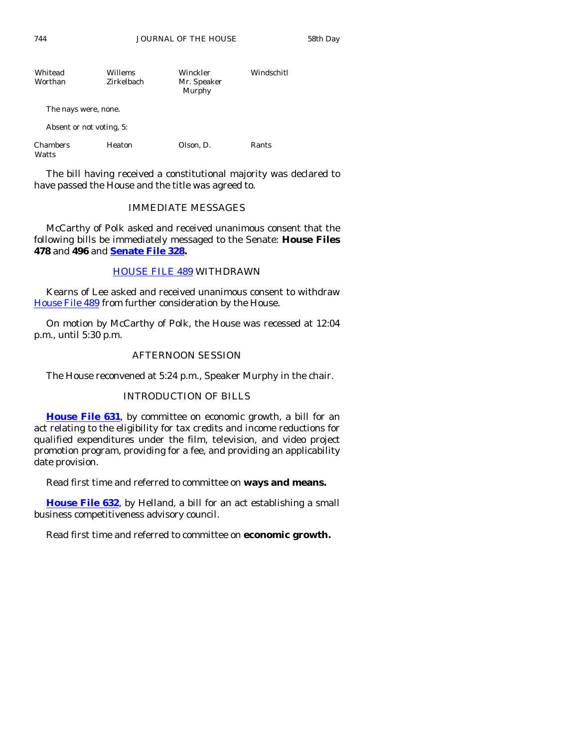| Whitead<br>Worthan | Willems<br>Zirkelbach | Winckler<br>Mr. Speaker<br>Murphy | Windschitl |
|--------------------|-----------------------|-----------------------------------|------------|
|                    |                       |                                   |            |

The nays were, none.

Absent or not voting, 5:

| Chambers | Heaton | Olson, D. | Rants |
|----------|--------|-----------|-------|
| Watts    |        |           |       |

 The bill having received a constitutional majority was declared to have passed the House and the title was agreed to.

# IMMEDIATE MESSAGES

 McCarthy of Polk asked and received unanimous consent that the following bills be immediately messaged to the Senate: **House Files 478** and **496** and **[Senate File 328](http://coolice.legis.state.ia.us/Cool-ICE/default.asp?Category=billinfo&Service=Billbook&frame=1&GA=83&hbill=SF328).**

# [HOUSE FILE 489](http://coolice.legis.state.ia.us/Cool-ICE/default.asp?Category=billinfo&Service=Billbook&frame=1&GA=83&hbill=HF489) WITHDRAWN

 Kearns of Lee asked and received unanimous consent to withdraw [House File 489](http://coolice.legis.state.ia.us/Cool-ICE/default.asp?Category=billinfo&Service=Billbook&frame=1&GA=83&hbill=HF489) from further consideration by the House.

 On motion by McCarthy of Polk, the House was recessed at 12:04 p.m., until 5:30 p.m.

# AFTERNOON SESSION

The House reconvened at 5:24 p.m., Speaker Murphy in the chair.

# INTRODUCTION OF BILLS

**[House File 631](http://coolice.legis.state.ia.us/Cool-ICE/default.asp?Category=billinfo&Service=Billbook&frame=1&GA=83&hbill=HF631)**, by committee on economic growth, a bill for an act relating to the eligibility for tax credits and income reductions for qualified expenditures under the film, television, and video project promotion program, providing for a fee, and providing an applicability date provision.

Read first time and referred to committee on **ways and means.** 

**[House File 632](http://coolice.legis.state.ia.us/Cool-ICE/default.asp?Category=billinfo&Service=Billbook&frame=1&GA=83&hbill=HF632)**, by Helland, a bill for an act establishing a small business competitiveness advisory council.

Read first time and referred to committee on **economic growth.**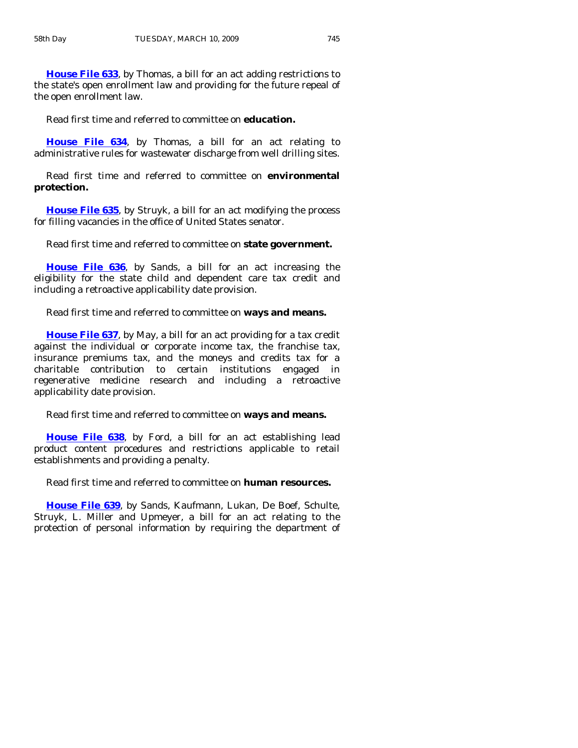**[House File 633](http://coolice.legis.state.ia.us/Cool-ICE/default.asp?Category=billinfo&Service=Billbook&frame=1&GA=83&hbill=HF633)**, by Thomas, a bill for an act adding restrictions to the state's open enrollment law and providing for the future repeal of the open enrollment law.

Read first time and referred to committee on **education.** 

**[House File 634](http://coolice.legis.state.ia.us/Cool-ICE/default.asp?Category=billinfo&Service=Billbook&frame=1&GA=83&hbill=HF634)**, by Thomas, a bill for an act relating to administrative rules for wastewater discharge from well drilling sites.

 Read first time and referred to committee on **environmental protection.** 

**[House File 635](http://coolice.legis.state.ia.us/Cool-ICE/default.asp?Category=billinfo&Service=Billbook&frame=1&GA=83&hbill=HF635)**, by Struyk, a bill for an act modifying the process for filling vacancies in the office of United States senator.

Read first time and referred to committee on **state government.** 

**[House File 636](http://coolice.legis.state.ia.us/Cool-ICE/default.asp?Category=billinfo&Service=Billbook&frame=1&GA=83&hbill=HF636)**, by Sands, a bill for an act increasing the eligibility for the state child and dependent care tax credit and including a retroactive applicability date provision.

Read first time and referred to committee on **ways and means.** 

**[House File 637](http://coolice.legis.state.ia.us/Cool-ICE/default.asp?Category=billinfo&Service=Billbook&frame=1&GA=83&hbill=HF637)**, by May, a bill for an act providing for a tax credit against the individual or corporate income tax, the franchise tax, insurance premiums tax, and the moneys and credits tax for a charitable contribution to certain institutions engaged in regenerative medicine research and including a retroactive applicability date provision.

Read first time and referred to committee on **ways and means.** 

**[House File 638](http://coolice.legis.state.ia.us/Cool-ICE/default.asp?Category=billinfo&Service=Billbook&frame=1&GA=83&hbill=HF638)**, by Ford, a bill for an act establishing lead product content procedures and restrictions applicable to retail establishments and providing a penalty.

Read first time and referred to committee on **human resources.** 

**[House File 639](http://coolice.legis.state.ia.us/Cool-ICE/default.asp?Category=billinfo&Service=Billbook&frame=1&GA=83&hbill=HF639)**, by Sands, Kaufmann, Lukan, De Boef, Schulte, Struyk, L. Miller and Upmeyer, a bill for an act relating to the protection of personal information by requiring the department of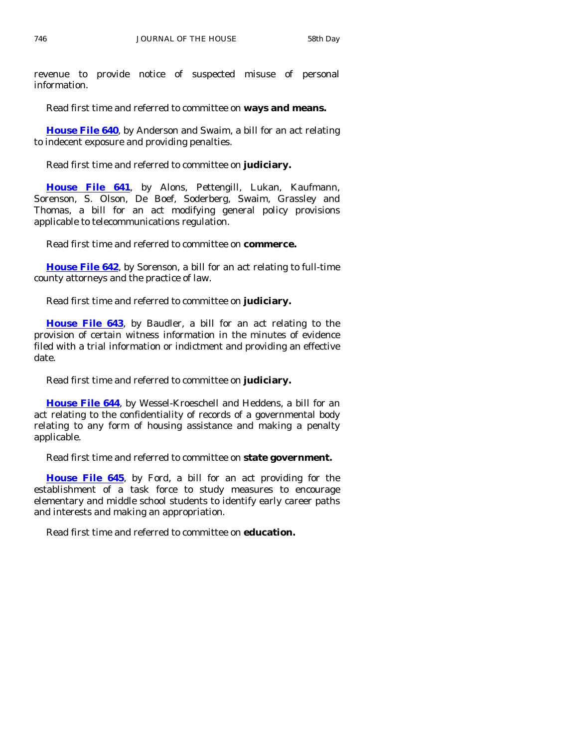revenue to provide notice of suspected misuse of personal information.

Read first time and referred to committee on **ways and means.** 

**[House File 640](http://coolice.legis.state.ia.us/Cool-ICE/default.asp?Category=billinfo&Service=Billbook&frame=1&GA=83&hbill=HF640)**, by Anderson and Swaim, a bill for an act relating to indecent exposure and providing penalties.

Read first time and referred to committee on **judiciary.** 

**[House File 641](http://coolice.legis.state.ia.us/Cool-ICE/default.asp?Category=billinfo&Service=Billbook&frame=1&GA=83&hbill=HF641)**, by Alons, Pettengill, Lukan, Kaufmann, Sorenson, S. Olson, De Boef, Soderberg, Swaim, Grassley and Thomas, a bill for an act modifying general policy provisions applicable to telecommunications regulation.

Read first time and referred to committee on **commerce.** 

**[House File 642](http://coolice.legis.state.ia.us/Cool-ICE/default.asp?Category=billinfo&Service=Billbook&frame=1&GA=83&hbill=HF642)**, by Sorenson, a bill for an act relating to full-time county attorneys and the practice of law.

Read first time and referred to committee on **judiciary.** 

**[House File 643](http://coolice.legis.state.ia.us/Cool-ICE/default.asp?Category=billinfo&Service=Billbook&frame=1&GA=83&hbill=HF643)**, by Baudler, a bill for an act relating to the provision of certain witness information in the minutes of evidence filed with a trial information or indictment and providing an effective date.

Read first time and referred to committee on **judiciary.** 

**[House File 644](http://coolice.legis.state.ia.us/Cool-ICE/default.asp?Category=billinfo&Service=Billbook&frame=1&GA=83&hbill=HF644)**, by Wessel-Kroeschell and Heddens, a bill for an act relating to the confidentiality of records of a governmental body relating to any form of housing assistance and making a penalty applicable.

Read first time and referred to committee on **state government.** 

**[House File 645](http://coolice.legis.state.ia.us/Cool-ICE/default.asp?Category=billinfo&Service=Billbook&frame=1&GA=83&hbill=HF645)**, by Ford, a bill for an act providing for the establishment of a task force to study measures to encourage elementary and middle school students to identify early career paths and interests and making an appropriation.

Read first time and referred to committee on **education.**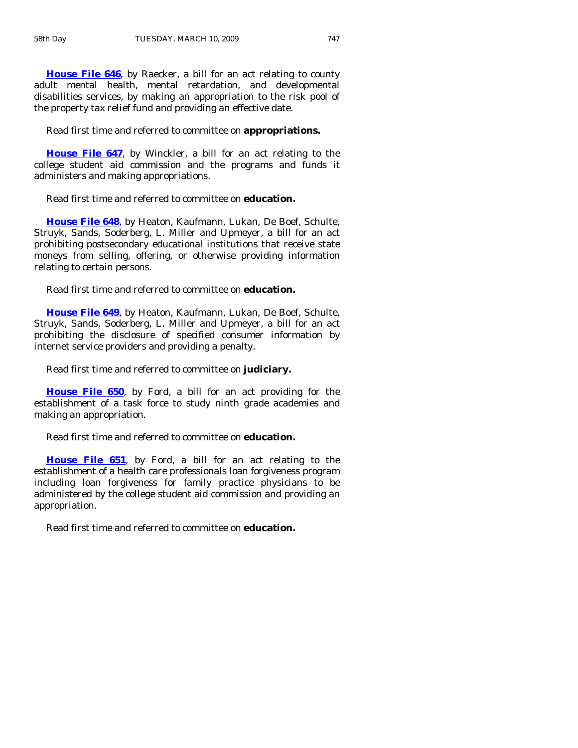**[House File 646](http://coolice.legis.state.ia.us/Cool-ICE/default.asp?Category=billinfo&Service=Billbook&frame=1&GA=83&hbill=HF646)**, by Raecker, a bill for an act relating to county adult mental health, mental retardation, and developmental disabilities services, by making an appropriation to the risk pool of the property tax relief fund and providing an effective date.

Read first time and referred to committee on **appropriations.** 

**[House File 647](http://coolice.legis.state.ia.us/Cool-ICE/default.asp?Category=billinfo&Service=Billbook&frame=1&GA=83&hbill=HF647)**, by Winckler, a bill for an act relating to the college student aid commission and the programs and funds it administers and making appropriations.

Read first time and referred to committee on **education.** 

**[House File 648](http://coolice.legis.state.ia.us/Cool-ICE/default.asp?Category=billinfo&Service=Billbook&frame=1&GA=83&hbill=HF648)**, by Heaton, Kaufmann, Lukan, De Boef, Schulte, Struyk, Sands, Soderberg, L. Miller and Upmeyer, a bill for an act prohibiting postsecondary educational institutions that receive state moneys from selling, offering, or otherwise providing information relating to certain persons.

Read first time and referred to committee on **education.** 

**[House File 649](http://coolice.legis.state.ia.us/Cool-ICE/default.asp?Category=billinfo&Service=Billbook&frame=1&GA=83&hbill=HF649)**, by Heaton, Kaufmann, Lukan, De Boef, Schulte, Struyk, Sands, Soderberg, L. Miller and Upmeyer, a bill for an act prohibiting the disclosure of specified consumer information by internet service providers and providing a penalty.

Read first time and referred to committee on **judiciary.** 

**[House File 650](http://coolice.legis.state.ia.us/Cool-ICE/default.asp?Category=billinfo&Service=Billbook&frame=1&GA=83&hbill=HF650)**, by Ford, a bill for an act providing for the establishment of a task force to study ninth grade academies and making an appropriation.

Read first time and referred to committee on **education.** 

**[House File 651](http://coolice.legis.state.ia.us/Cool-ICE/default.asp?Category=billinfo&Service=Billbook&frame=1&GA=83&hbill=HF651)**, by Ford, a bill for an act relating to the establishment of a health care professionals loan forgiveness program including loan forgiveness for family practice physicians to be administered by the college student aid commission and providing an appropriation.

Read first time and referred to committee on **education.**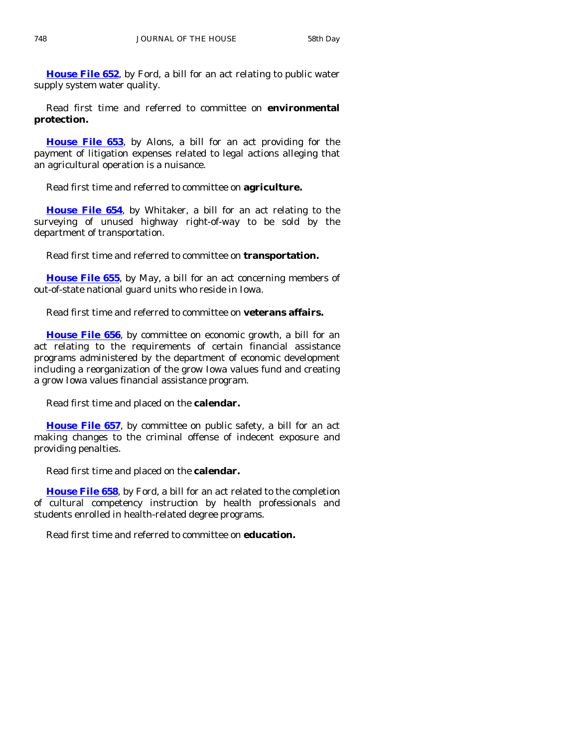**[House File 652](http://coolice.legis.state.ia.us/Cool-ICE/default.asp?Category=billinfo&Service=Billbook&frame=1&GA=83&hbill=HF652)**, by Ford, a bill for an act relating to public water supply system water quality.

 Read first time and referred to committee on **environmental protection.** 

**[House File 653](http://coolice.legis.state.ia.us/Cool-ICE/default.asp?Category=billinfo&Service=Billbook&frame=1&GA=83&hbill=HF653)**, by Alons, a bill for an act providing for the payment of litigation expenses related to legal actions alleging that an agricultural operation is a nuisance.

Read first time and referred to committee on **agriculture.** 

**[House File 654](http://coolice.legis.state.ia.us/Cool-ICE/default.asp?Category=billinfo&Service=Billbook&frame=1&GA=83&hbill=HF654)**, by Whitaker, a bill for an act relating to the surveying of unused highway right-of-way to be sold by the department of transportation.

Read first time and referred to committee on **transportation.** 

**[House File 655](http://coolice.legis.state.ia.us/Cool-ICE/default.asp?Category=billinfo&Service=Billbook&frame=1&GA=83&hbill=HF655)**, by May, a bill for an act concerning members of out-of-state national guard units who reside in Iowa.

Read first time and referred to committee on **veterans affairs.** 

**[House File 656](http://coolice.legis.state.ia.us/Cool-ICE/default.asp?Category=billinfo&Service=Billbook&frame=1&GA=83&hbill=HF656)**, by committee on economic growth, a bill for an act relating to the requirements of certain financial assistance programs administered by the department of economic development including a reorganization of the grow Iowa values fund and creating a grow Iowa values financial assistance program.

Read first time and placed on the **calendar.** 

**[House File 657](http://coolice.legis.state.ia.us/Cool-ICE/default.asp?Category=billinfo&Service=Billbook&frame=1&GA=83&hbill=HF657)**, by committee on public safety, a bill for an act making changes to the criminal offense of indecent exposure and providing penalties.

Read first time and placed on the **calendar.** 

**[House File 658](http://coolice.legis.state.ia.us/Cool-ICE/default.asp?Category=billinfo&Service=Billbook&frame=1&GA=83&hbill=HF658)**, by Ford, a bill for an act related to the completion of cultural competency instruction by health professionals and students enrolled in health-related degree programs.

Read first time and referred to committee on **education.**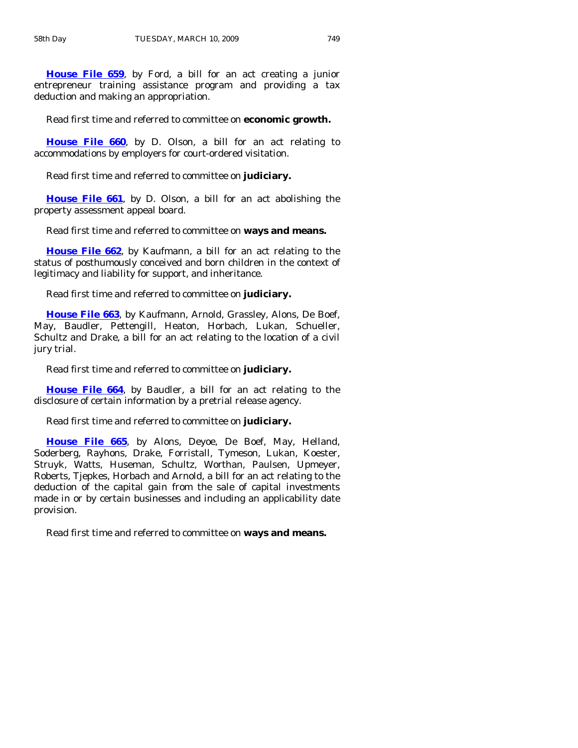**[House File 659](http://coolice.legis.state.ia.us/Cool-ICE/default.asp?Category=billinfo&Service=Billbook&frame=1&GA=83&hbill=HF659)**, by Ford, a bill for an act creating a junior entrepreneur training assistance program and providing a tax deduction and making an appropriation.

Read first time and referred to committee on **economic growth.** 

**[House File 660](http://coolice.legis.state.ia.us/Cool-ICE/default.asp?Category=billinfo&Service=Billbook&frame=1&GA=83&hbill=HF660)**, by D. Olson, a bill for an act relating to accommodations by employers for court-ordered visitation.

Read first time and referred to committee on **judiciary.** 

**[House File 661](http://coolice.legis.state.ia.us/Cool-ICE/default.asp?Category=billinfo&Service=Billbook&frame=1&GA=83&hbill=HF661)**, by D. Olson, a bill for an act abolishing the property assessment appeal board.

Read first time and referred to committee on **ways and means.** 

**[House File 662](http://coolice.legis.state.ia.us/Cool-ICE/default.asp?Category=billinfo&Service=Billbook&frame=1&GA=83&hbill=HF662)**, by Kaufmann, a bill for an act relating to the status of posthumously conceived and born children in the context of legitimacy and liability for support, and inheritance.

Read first time and referred to committee on **judiciary.** 

**[House File 663](http://coolice.legis.state.ia.us/Cool-ICE/default.asp?Category=billinfo&Service=Billbook&frame=1&GA=83&hbill=HF663)**, by Kaufmann, Arnold, Grassley, Alons, De Boef, May, Baudler, Pettengill, Heaton, Horbach, Lukan, Schueller, Schultz and Drake, a bill for an act relating to the location of a civil jury trial.

Read first time and referred to committee on **judiciary.** 

**[House File 664](http://coolice.legis.state.ia.us/Cool-ICE/default.asp?Category=billinfo&Service=Billbook&frame=1&GA=83&hbill=HF664)**, by Baudler, a bill for an act relating to the disclosure of certain information by a pretrial release agency.

Read first time and referred to committee on **judiciary.** 

**[House File 665](http://coolice.legis.state.ia.us/Cool-ICE/default.asp?Category=billinfo&Service=Billbook&frame=1&GA=83&hbill=HF665)**, by Alons, Deyoe, De Boef, May, Helland, Soderberg, Rayhons, Drake, Forristall, Tymeson, Lukan, Koester, Struyk, Watts, Huseman, Schultz, Worthan, Paulsen, Upmeyer, Roberts, Tjepkes, Horbach and Arnold, a bill for an act relating to the deduction of the capital gain from the sale of capital investments made in or by certain businesses and including an applicability date provision.

Read first time and referred to committee on **ways and means.**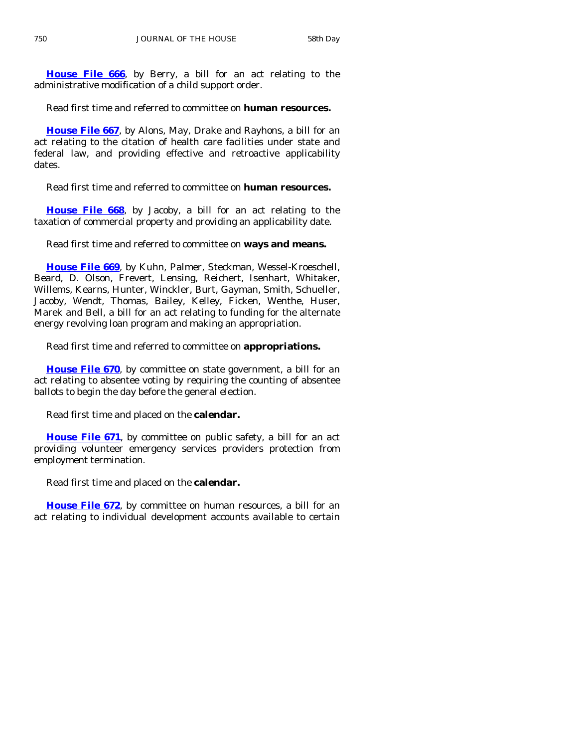**[House File 666](http://coolice.legis.state.ia.us/Cool-ICE/default.asp?Category=billinfo&Service=Billbook&frame=1&GA=83&hbill=HF666)**, by Berry, a bill for an act relating to the administrative modification of a child support order.

Read first time and referred to committee on **human resources.** 

**[House File 667](http://coolice.legis.state.ia.us/Cool-ICE/default.asp?Category=billinfo&Service=Billbook&frame=1&GA=83&hbill=HF667)**, by Alons, May, Drake and Rayhons, a bill for an act relating to the citation of health care facilities under state and federal law, and providing effective and retroactive applicability dates.

Read first time and referred to committee on **human resources.** 

**[House File 668](http://coolice.legis.state.ia.us/Cool-ICE/default.asp?Category=billinfo&Service=Billbook&frame=1&GA=83&hbill=HF668)**, by Jacoby, a bill for an act relating to the taxation of commercial property and providing an applicability date.

Read first time and referred to committee on **ways and means.** 

**[House File 669](http://coolice.legis.state.ia.us/Cool-ICE/default.asp?Category=billinfo&Service=Billbook&frame=1&GA=83&hbill=HF669)**, by Kuhn, Palmer, Steckman, Wessel-Kroeschell, Beard, D. Olson, Frevert, Lensing, Reichert, Isenhart, Whitaker, Willems, Kearns, Hunter, Winckler, Burt, Gayman, Smith, Schueller, Jacoby, Wendt, Thomas, Bailey, Kelley, Ficken, Wenthe, Huser, Marek and Bell, a bill for an act relating to funding for the alternate energy revolving loan program and making an appropriation.

Read first time and referred to committee on **appropriations.** 

**[House File 670](http://coolice.legis.state.ia.us/Cool-ICE/default.asp?Category=billinfo&Service=Billbook&frame=1&GA=83&hbill=HF670)**, by committee on state government, a bill for an act relating to absentee voting by requiring the counting of absentee ballots to begin the day before the general election.

Read first time and placed on the **calendar.** 

**[House File 671](http://coolice.legis.state.ia.us/Cool-ICE/default.asp?Category=billinfo&Service=Billbook&frame=1&GA=83&hbill=HF671)**, by committee on public safety, a bill for an act providing volunteer emergency services providers protection from employment termination.

Read first time and placed on the **calendar.** 

**[House File 672](http://coolice.legis.state.ia.us/Cool-ICE/default.asp?Category=billinfo&Service=Billbook&frame=1&GA=83&hbill=HF672)**, by committee on human resources, a bill for an act relating to individual development accounts available to certain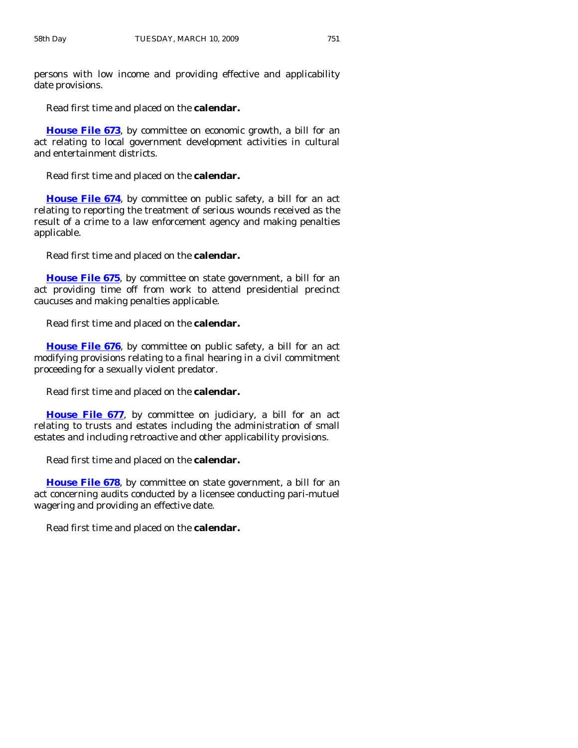persons with low income and providing effective and applicability date provisions.

Read first time and placed on the **calendar.** 

**[House File 673](http://coolice.legis.state.ia.us/Cool-ICE/default.asp?Category=billinfo&Service=Billbook&frame=1&GA=83&hbill=HF673)**, by committee on economic growth, a bill for an act relating to local government development activities in cultural and entertainment districts.

Read first time and placed on the **calendar.** 

**[House File 674](http://coolice.legis.state.ia.us/Cool-ICE/default.asp?Category=billinfo&Service=Billbook&frame=1&GA=83&hbill=HF674)**, by committee on public safety, a bill for an act relating to reporting the treatment of serious wounds received as the result of a crime to a law enforcement agency and making penalties applicable.

Read first time and placed on the **calendar.** 

**[House File 675](http://coolice.legis.state.ia.us/Cool-ICE/default.asp?Category=billinfo&Service=Billbook&frame=1&GA=83&hbill=HF675)**, by committee on state government, a bill for an act providing time off from work to attend presidential precinct caucuses and making penalties applicable.

Read first time and placed on the **calendar.** 

**[House File 676](http://coolice.legis.state.ia.us/Cool-ICE/default.asp?Category=billinfo&Service=Billbook&frame=1&GA=83&hbill=HF676)**, by committee on public safety, a bill for an act modifying provisions relating to a final hearing in a civil commitment proceeding for a sexually violent predator.

Read first time and placed on the **calendar.** 

**[House File 677](http://coolice.legis.state.ia.us/Cool-ICE/default.asp?Category=billinfo&Service=Billbook&frame=1&GA=83&hbill=HF677)**, by committee on judiciary, a bill for an act relating to trusts and estates including the administration of small estates and including retroactive and other applicability provisions.

Read first time and placed on the **calendar.** 

**[House File 678](http://coolice.legis.state.ia.us/Cool-ICE/default.asp?Category=billinfo&Service=Billbook&frame=1&GA=83&hbill=HF678)**, by committee on state government, a bill for an act concerning audits conducted by a licensee conducting pari-mutuel wagering and providing an effective date.

Read first time and placed on the **calendar.**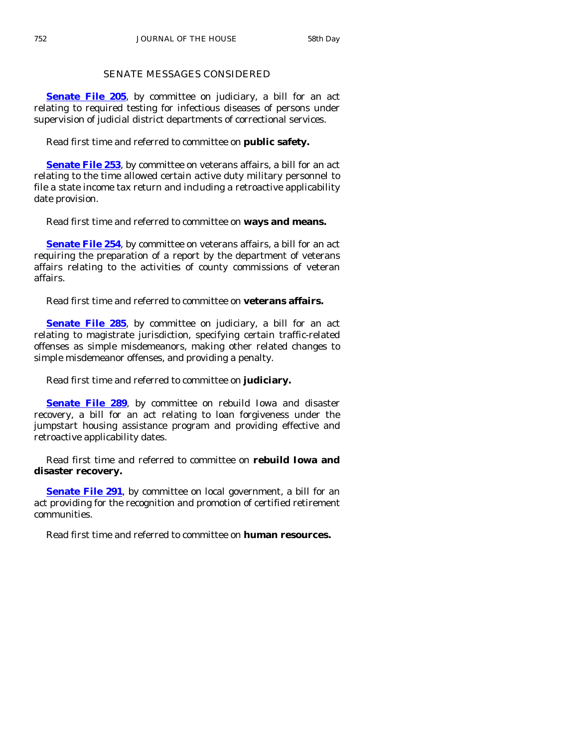# SENATE MESSAGES CONSIDERED

**[Senate File 205](http://coolice.legis.state.ia.us/Cool-ICE/default.asp?Category=billinfo&Service=Billbook&frame=1&GA=83&hbill=SF205)**, by committee on judiciary, a bill for an act relating to required testing for infectious diseases of persons under supervision of judicial district departments of correctional services.

Read first time and referred to committee on **public safety.** 

**[Senate File 253](http://coolice.legis.state.ia.us/Cool-ICE/default.asp?Category=billinfo&Service=Billbook&frame=1&GA=83&hbill=SF253)**, by committee on veterans affairs, a bill for an act relating to the time allowed certain active duty military personnel to file a state income tax return and including a retroactive applicability date provision.

Read first time and referred to committee on **ways and means.** 

**[Senate File 254](http://coolice.legis.state.ia.us/Cool-ICE/default.asp?Category=billinfo&Service=Billbook&frame=1&GA=83&hbill=SF254)**, by committee on veterans affairs, a bill for an act requiring the preparation of a report by the department of veterans affairs relating to the activities of county commissions of veteran affairs.

Read first time and referred to committee on **veterans affairs.** 

**[Senate File 285](http://coolice.legis.state.ia.us/Cool-ICE/default.asp?Category=billinfo&Service=Billbook&frame=1&GA=83&hbill=SF285)**, by committee on judiciary, a bill for an act relating to magistrate jurisdiction, specifying certain traffic-related offenses as simple misdemeanors, making other related changes to simple misdemeanor offenses, and providing a penalty.

Read first time and referred to committee on **judiciary.** 

**[Senate File 289](http://coolice.legis.state.ia.us/Cool-ICE/default.asp?Category=billinfo&Service=Billbook&frame=1&GA=83&hbill=SF289)**, by committee on rebuild Iowa and disaster recovery, a bill for an act relating to loan forgiveness under the jumpstart housing assistance program and providing effective and retroactive applicability dates.

 Read first time and referred to committee on **rebuild Iowa and disaster recovery.** 

**[Senate File 291](http://coolice.legis.state.ia.us/Cool-ICE/default.asp?Category=billinfo&Service=Billbook&frame=1&GA=83&hbill=SF291)**, by committee on local government, a bill for an act providing for the recognition and promotion of certified retirement communities.

Read first time and referred to committee on **human resources.**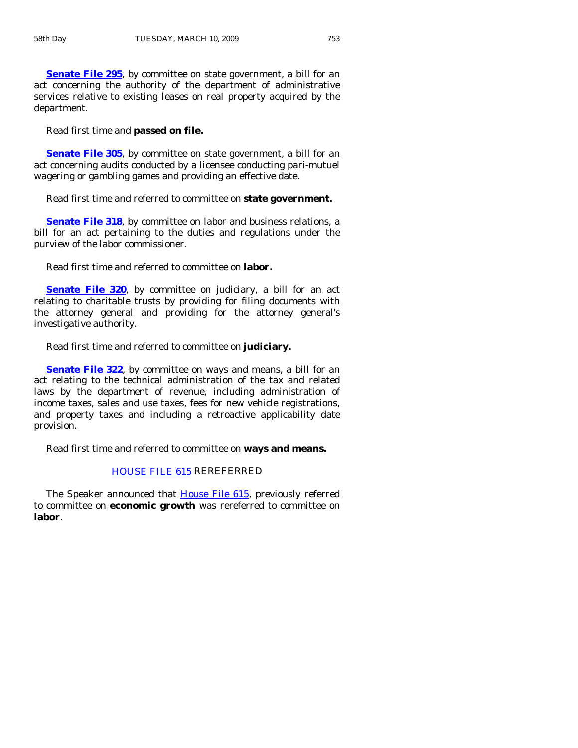**[Senate File 295](http://coolice.legis.state.ia.us/Cool-ICE/default.asp?Category=billinfo&Service=Billbook&frame=1&GA=83&hbill=SF295), by committee on state government, a bill for an** act concerning the authority of the department of administrative services relative to existing leases on real property acquired by the department.

Read first time and **passed on file.** 

**[Senate File 305](http://coolice.legis.state.ia.us/Cool-ICE/default.asp?Category=billinfo&Service=Billbook&frame=1&GA=83&hbill=SF305)**, by committee on state government, a bill for an act concerning audits conducted by a licensee conducting pari-mutuel wagering or gambling games and providing an effective date.

Read first time and referred to committee on **state government.** 

**[Senate File 318](http://coolice.legis.state.ia.us/Cool-ICE/default.asp?Category=billinfo&Service=Billbook&frame=1&GA=83&hbill=SF318)**, by committee on labor and business relations, a bill for an act pertaining to the duties and regulations under the purview of the labor commissioner.

Read first time and referred to committee on **labor.** 

**[Senate File 320](http://coolice.legis.state.ia.us/Cool-ICE/default.asp?Category=billinfo&Service=Billbook&frame=1&GA=83&hbill=SF320)**, by committee on judiciary, a bill for an act relating to charitable trusts by providing for filing documents with the attorney general and providing for the attorney general's investigative authority.

Read first time and referred to committee on **judiciary.** 

**[Senate File 322](http://coolice.legis.state.ia.us/Cool-ICE/default.asp?Category=billinfo&Service=Billbook&frame=1&GA=83&hbill=SF322)**, by committee on ways and means, a bill for an act relating to the technical administration of the tax and related laws by the department of revenue, including administration of income taxes, sales and use taxes, fees for new vehicle registrations, and property taxes and including a retroactive applicability date provision.

Read first time and referred to committee on **ways and means.** 

# [HOUSE FILE 615](http://coolice.legis.state.ia.us/Cool-ICE/default.asp?Category=billinfo&Service=Billbook&frame=1&GA=83&hbill=HF615) REREFERRED

The Speaker announced that [House File 615,](http://coolice.legis.state.ia.us/Cool-ICE/default.asp?Category=billinfo&Service=Billbook&frame=1&GA=83&hbill=HF615) previously referred to committee on **economic growth** was rereferred to committee on **labor**.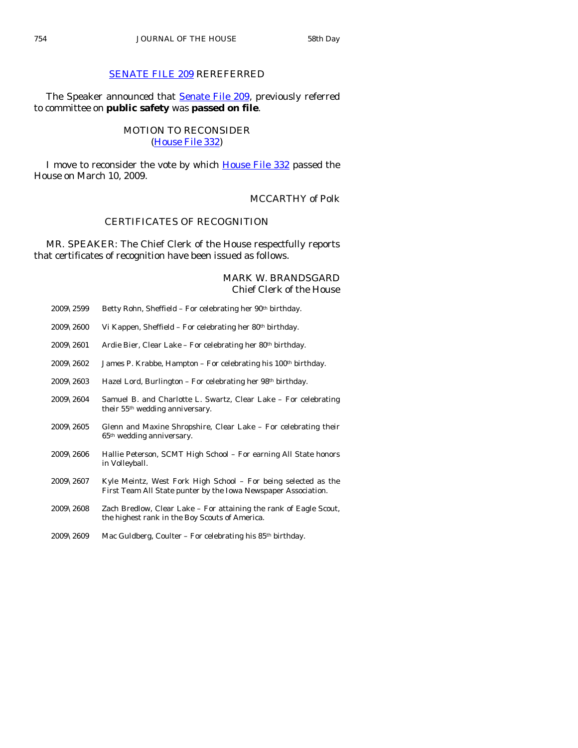# [SENATE FILE 209](http://coolice.legis.state.ia.us/Cool-ICE/default.asp?Category=billinfo&Service=Billbook&frame=1&GA=83&hbill=SF209) REREFERRED

The Speaker announced that **[Senate File 209](http://coolice.legis.state.ia.us/Cool-ICE/default.asp?Category=billinfo&Service=Billbook&frame=1&GA=83&hbill=SF209)**, previously referred to committee on **public safety** was **passed on file**.

# MOTION TO RECONSIDER [\(House File 332\)](http://coolice.legis.state.ia.us/Cool-ICE/default.asp?Category=billinfo&Service=Billbook&frame=1&GA=83&hbill=HF332)

 I move to reconsider the vote by which [House File 332](http://coolice.legis.state.ia.us/Cool-ICE/default.asp?Category=billinfo&Service=Billbook&frame=1&GA=83&hbill=HF332) passed the House on March 10, 2009.

# MCCARTHY of Polk

## CERTIFICATES OF RECOGNITION

 MR. SPEAKER: The Chief Clerk of the House respectfully reports that certificates of recognition have been issued as follows.

# MARK W. BRANDSGARD Chief Clerk of the House

| 2009\2599             | Betty Rohn, Sheffield – For celebrating her 90 <sup>th</sup> birthday.                                                           |
|-----------------------|----------------------------------------------------------------------------------------------------------------------------------|
| 2009\2600             | Vi Kappen, Sheffield – For celebrating her 80th birthday.                                                                        |
| $2009\backslash2601$  | Ardie Bier, Clear Lake – For celebrating her 80th birthday.                                                                      |
| $2009\backslash 2602$ | James P. Krabbe, Hampton – For celebrating his 100 <sup>th</sup> birthday.                                                       |
| $2009\backslash 2603$ | Hazel Lord, Burlington – For celebrating her 98th birthday.                                                                      |
| 2009\2604             | Samuel B. and Charlotte L. Swartz, Clear Lake – For celebrating<br>their 55 <sup>th</sup> wedding anniversary.                   |
| 2009\2605             | Glenn and Maxine Shropshire, Clear Lake - For celebrating their<br>65 <sup>th</sup> wedding anniversary.                         |
| $2009\backslash 2606$ | Hallie Peterson, SCMT High School – For earning All State honors<br>in Volleyball.                                               |
| $2009\backslash 2607$ | Kyle Meintz, West Fork High School – For being selected as the<br>First Team All State punter by the Iowa Newspaper Association. |
| $2009\backslash 2608$ | Zach Bredlow, Clear Lake – For attaining the rank of Eagle Scout,<br>the highest rank in the Boy Scouts of America.              |

2009\2609 Mac Guldberg, Coulter – For celebrating his  $85<sup>th</sup>$  birthday.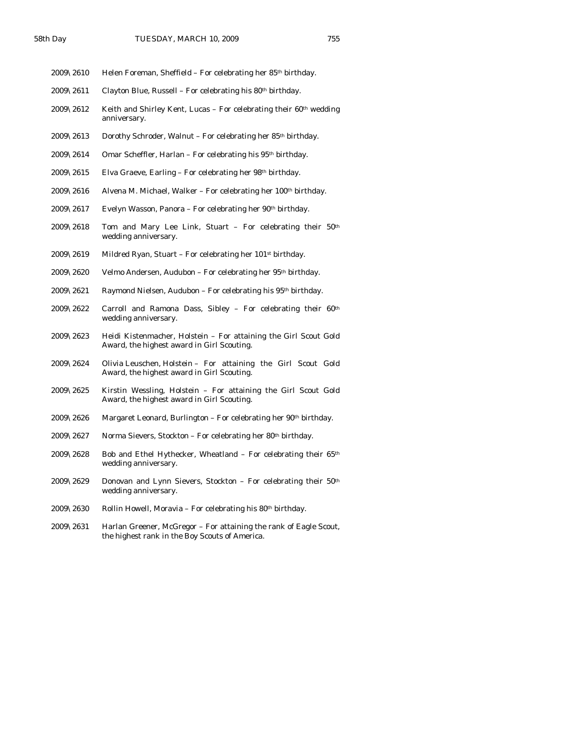- 2009\2610 Helen Foreman, Sheffield For celebrating her 85<sup>th</sup> birthday.
- 2009\2611 Clayton Blue, Russell For celebrating his  $80<sup>th</sup>$  birthday.
- $2009\backslash2612$  Keith and Shirley Kent, Lucas For celebrating their  $60<sup>th</sup>$  wedding anniversary.
- 2009\2613 Dorothy Schroder, Walnut For celebrating her 85th birthday.
- 2009\2614 Omar Scheffler, Harlan For celebrating his  $95<sup>th</sup>$  birthday.
- 2009\2615 Elva Graeve, Earling For celebrating her 98<sup>th</sup> birthday.
- 2009\2616 Alvena M. Michael, Walker For celebrating her 100th birthday.
- 2009\2617 Evelyn Wasson, Panora For celebrating her 90<sup>th</sup> birthday.
- 2009\2618 Tom and Mary Lee Link, Stuart For celebrating their 50th wedding anniversary.
- 2009\2619 Mildred Ryan, Stuart For celebrating her 101st birthday.
- 2009\2620 Velmo Andersen, Audubon For celebrating her 95th birthday.
- 2009\2621 Raymond Nielsen, Audubon For celebrating his 95th birthday.
- 2009\2622 Carroll and Ramona Dass, Sibley For celebrating their  $60<sup>th</sup>$ wedding anniversary.
- 2009\2623 Heidi Kistenmacher, Holstein For attaining the Girl Scout Gold Award, the highest award in Girl Scouting.
- 2009\2624 Olivia Leuschen, Holstein For attaining the Girl Scout Gold Award, the highest award in Girl Scouting.
- 2009\2625 Kirstin Wessling, Holstein For attaining the Girl Scout Gold Award, the highest award in Girl Scouting.
- 2009\2626 Margaret Leonard, Burlington For celebrating her  $90th$  birthday.
- $2009\sqrt{2627}$  Norma Sievers, Stockton For celebrating her 80<sup>th</sup> birthday.
- 2009\2628 Bob and Ethel Hythecker, Wheatland For celebrating their 65th wedding anniversary.
- 2009\2629 Donovan and Lynn Sievers, Stockton For celebrating their 50th wedding anniversary.
- 2009\2630 Rollin Howell, Moravia For celebrating his  $80<sup>th</sup>$  birthday.
- 2009\2631 Harlan Greener, McGregor For attaining the rank of Eagle Scout, the highest rank in the Boy Scouts of America.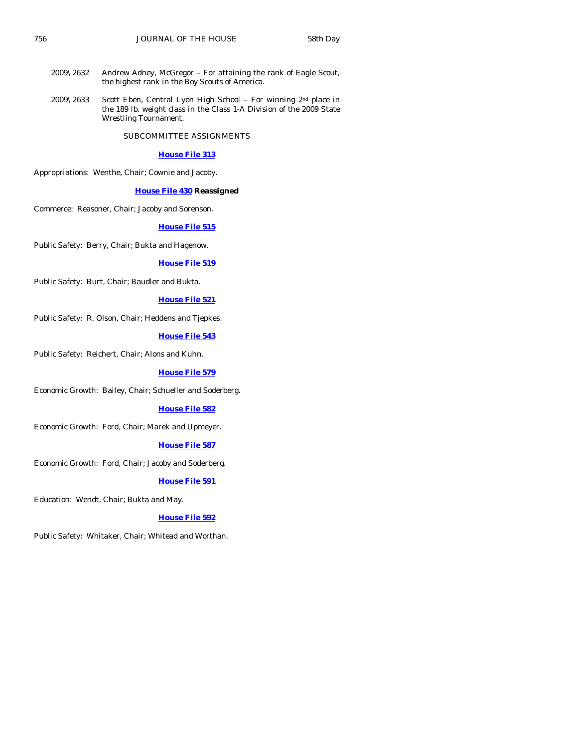- 2009\2632 Andrew Adney, McGregor For attaining the rank of Eagle Scout, the highest rank in the Boy Scouts of America.
- 2009\2633 Scott Eben, Central Lyon High School For winning 2nd place in the 189 lb. weight class in the Class 1-A Division of the 2009 State Wrestling Tournament.

SUBCOMMITTEE ASSIGNMENTS

#### **[House File 313](http://coolice.legis.state.ia.us/Cool-ICE/default.asp?Category=billinfo&Service=Billbook&frame=1&GA=83&hbill=HF313)**

Appropriations: Wenthe, Chair; Cownie and Jacoby.

#### **[House File 430](http://coolice.legis.state.ia.us/Cool-ICE/default.asp?Category=billinfo&Service=Billbook&frame=1&GA=83&hbill=HF430) Reassigned**

Commerce: Reasoner, Chair; Jacoby and Sorenson.

#### **[House File 515](http://coolice.legis.state.ia.us/Cool-ICE/default.asp?Category=billinfo&Service=Billbook&frame=1&GA=83&hbill=HF515)**

Public Safety: Berry, Chair; Bukta and Hagenow.

#### **[House File 519](http://coolice.legis.state.ia.us/Cool-ICE/default.asp?Category=billinfo&Service=Billbook&frame=1&GA=83&hbill=HF519)**

Public Safety: Burt, Chair; Baudler and Bukta.

#### **[House File 521](http://coolice.legis.state.ia.us/Cool-ICE/default.asp?Category=billinfo&Service=Billbook&frame=1&GA=83&hbill=HF521)**

Public Safety: R. Olson, Chair; Heddens and Tjepkes.

#### **[House File 543](http://coolice.legis.state.ia.us/Cool-ICE/default.asp?Category=billinfo&Service=Billbook&frame=1&GA=83&hbill=HF543)**

Public Safety: Reichert, Chair; Alons and Kuhn.

#### **[House File 579](http://coolice.legis.state.ia.us/Cool-ICE/default.asp?Category=billinfo&Service=Billbook&frame=1&GA=83&hbill=HF579)**

Economic Growth: Bailey, Chair; Schueller and Soderberg.

#### **[House File 582](http://coolice.legis.state.ia.us/Cool-ICE/default.asp?Category=billinfo&Service=Billbook&frame=1&GA=83&hbill=HF582)**

Economic Growth: Ford, Chair; Marek and Upmeyer.

#### **[House File 587](http://coolice.legis.state.ia.us/Cool-ICE/default.asp?Category=billinfo&Service=Billbook&frame=1&GA=83&hbill=HF587)**

Economic Growth: Ford, Chair; Jacoby and Soderberg.

#### **[House File 591](http://coolice.legis.state.ia.us/Cool-ICE/default.asp?Category=billinfo&Service=Billbook&frame=1&GA=83&hbill=HF591)**

Education: Wendt, Chair; Bukta and May.

#### **[House File 592](http://coolice.legis.state.ia.us/Cool-ICE/default.asp?Category=billinfo&Service=Billbook&frame=1&GA=83&hbill=HF592)**

Public Safety: Whitaker, Chair; Whitead and Worthan.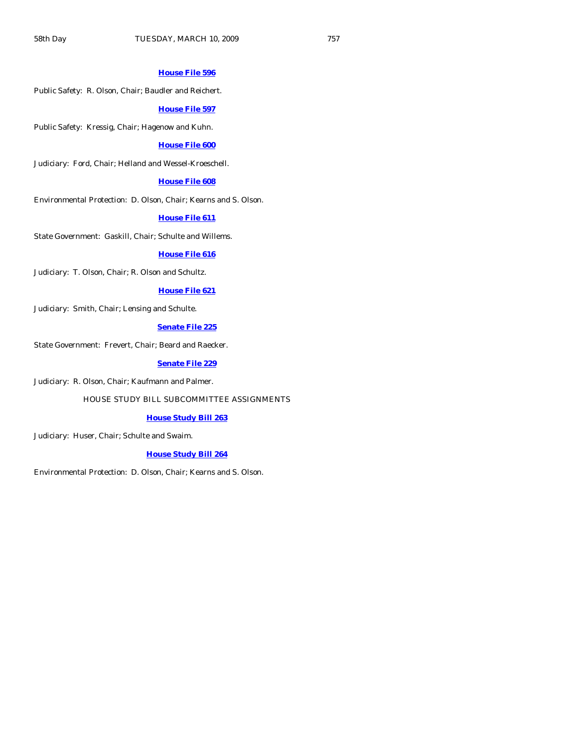#### **[House File 596](http://coolice.legis.state.ia.us/Cool-ICE/default.asp?Category=billinfo&Service=Billbook&frame=1&GA=83&hbill=HF596)**

Public Safety: R. Olson, Chair; Baudler and Reichert.

#### **[House File 597](http://coolice.legis.state.ia.us/Cool-ICE/default.asp?Category=billinfo&Service=Billbook&frame=1&GA=83&hbill=HF597)**

Public Safety: Kressig, Chair; Hagenow and Kuhn.

# **[House File 600](http://coolice.legis.state.ia.us/Cool-ICE/default.asp?Category=billinfo&Service=Billbook&frame=1&GA=83&hbill=HF600)**

Judiciary: Ford, Chair; Helland and Wessel-Kroeschell.

#### **[House File 608](http://coolice.legis.state.ia.us/Cool-ICE/default.asp?Category=billinfo&Service=Billbook&frame=1&GA=83&hbill=HF608)**

Environmental Protection: D. Olson, Chair; Kearns and S. Olson.

#### **[House File 611](http://coolice.legis.state.ia.us/Cool-ICE/default.asp?Category=billinfo&Service=Billbook&frame=1&GA=83&hbill=HF611)**

State Government: Gaskill, Chair; Schulte and Willems.

#### **[House File 616](http://coolice.legis.state.ia.us/Cool-ICE/default.asp?Category=billinfo&Service=Billbook&frame=1&GA=83&hbill=HF616)**

Judiciary: T. Olson, Chair; R. Olson and Schultz.

#### **[House File 621](http://coolice.legis.state.ia.us/Cool-ICE/default.asp?Category=billinfo&Service=Billbook&frame=1&GA=83&hbill=HF621)**

Judiciary: Smith, Chair; Lensing and Schulte.

# **[Senate File 225](http://coolice.legis.state.ia.us/Cool-ICE/default.asp?Category=billinfo&Service=Billbook&frame=1&GA=83&hbill=SF225)**

State Government: Frevert, Chair; Beard and Raecker.

#### **[Senate File 229](http://coolice.legis.state.ia.us/Cool-ICE/default.asp?Category=billinfo&Service=Billbook&frame=1&GA=83&hbill=SF229)**

Judiciary: R. Olson, Chair; Kaufmann and Palmer.

#### HOUSE STUDY BILL SUBCOMMITTEE ASSIGNMENTS

#### **[House Study Bill 263](http://coolice.legis.state.ia.us/Cool-ICE/default.asp?Category=billinfo&Service=Billbook&frame=1&GA=83&hbill=HSB263)**

Judiciary: Huser, Chair; Schulte and Swaim.

#### **[House Study Bill 264](http://coolice.legis.state.ia.us/Cool-ICE/default.asp?Category=billinfo&Service=Billbook&frame=1&GA=83&hbill=HSB264)**

Environmental Protection: D. Olson, Chair; Kearns and S. Olson.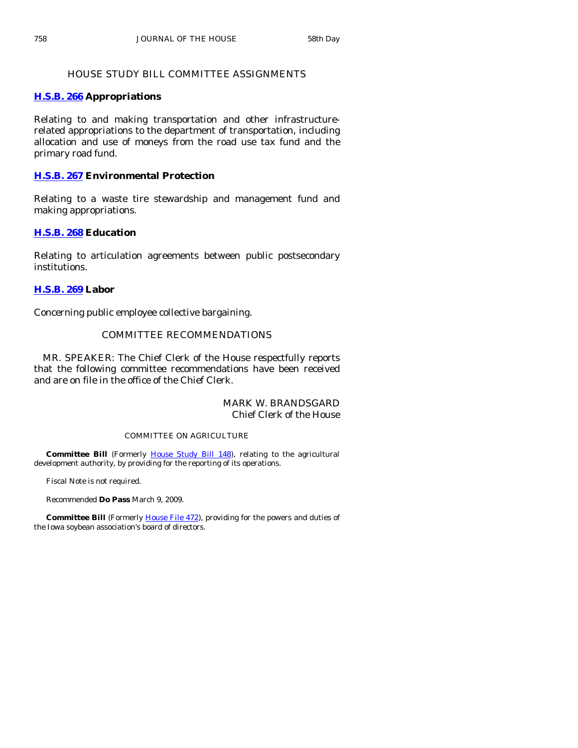# HOUSE STUDY BILL COMMITTEE ASSIGNMENTS

# **[H.S.B. 266](http://coolice.legis.state.ia.us/Cool-ICE/default.asp?Category=billinfo&Service=Billbook&frame=1&GA=83&hbill=HSB266) Appropriations**

Relating to and making transportation and other infrastructurerelated appropriations to the department of transportation, including allocation and use of moneys from the road use tax fund and the primary road fund.

# **[H.S.B. 267](http://coolice.legis.state.ia.us/Cool-ICE/default.asp?Category=billinfo&Service=Billbook&frame=1&GA=83&hbill=HSB267) Environmental Protection**

Relating to a waste tire stewardship and management fund and making appropriations.

# **[H.S.B. 268](http://coolice.legis.state.ia.us/Cool-ICE/default.asp?Category=billinfo&Service=Billbook&frame=1&GA=83&hbill=HSB268) Education**

Relating to articulation agreements between public postsecondary institutions.

# **[H.S.B. 269](http://coolice.legis.state.ia.us/Cool-ICE/default.asp?Category=billinfo&Service=Billbook&frame=1&GA=83&hbill=HSB269) Labor**

Concerning public employee collective bargaining.

# COMMITTEE RECOMMENDATIONS

 MR. SPEAKER: The Chief Clerk of the House respectfully reports that the following committee recommendations have been received and are on file in the office of the Chief Clerk.

# MARK W. BRANDSGARD Chief Clerk of the House

# COMMITTEE ON AGRICULTURE

Committee Bill (Formerly [House Study Bill 148\)](http://coolice.legis.state.ia.us/Cool-ICE/default.asp?Category=billinfo&Service=Billbook&frame=1&GA=83&hbill=HSB148), relating to the agricultural development authority, by providing for the reporting of its operations.

Fiscal Note is not required.

Recommended **Do Pass** March 9, 2009.

 **Committee Bill** (Formerly [House File 472](http://coolice.legis.state.ia.us/Cool-ICE/default.asp?Category=billinfo&Service=Billbook&frame=1&GA=83&hbill=HF472)), providing for the powers and duties of the Iowa soybean association's board of directors.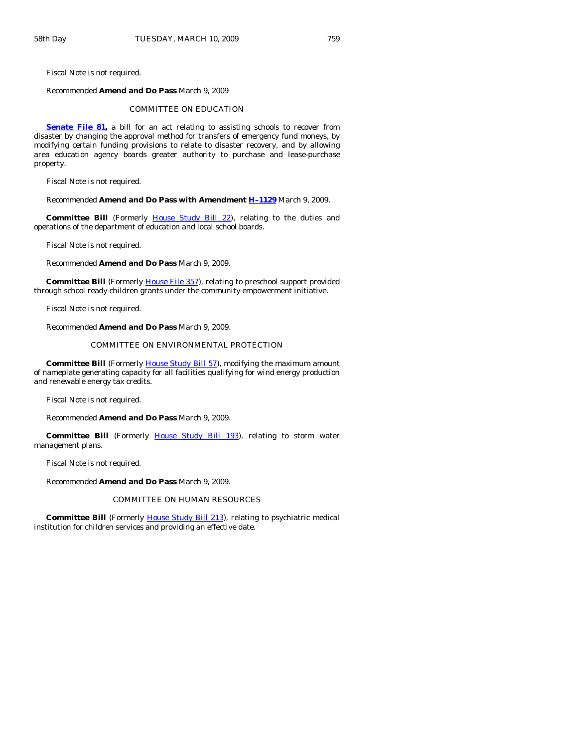Fiscal Note is not required.

#### Recommended **Amend and Do Pass** March 9, 2009

#### COMMITTEE ON EDUCATION

**[Senate File 81](http://coolice.legis.state.ia.us/Cool-ICE/default.asp?Category=billinfo&Service=Billbook&frame=1&GA=83&hbill=SF81),** a bill for an act relating to assisting schools to recover from disaster by changing the approval method for transfers of emergency fund moneys, by modifying certain funding provisions to relate to disaster recovery, and by allowing area education agency boards greater authority to purchase and lease-purchase property.

Fiscal Note is not required.

Recommended **Amend and Do Pass with Amendment [H–1129](http://coolice.legis.state.ia.us/Cool-ICE/default.asp?Category=billinfo&Service=Billbook&frame=1&GA=83&hbill=H1129)** March 9, 2009.

Committee Bill (Formerly [House Study Bill 22](http://coolice.legis.state.ia.us/Cool-ICE/default.asp?Category=billinfo&Service=Billbook&frame=1&GA=83&hbill=HSB22)), relating to the duties and operations of the department of education and local school boards.

Fiscal Note is not required.

Recommended **Amend and Do Pass** March 9, 2009.

**Committee Bill** (Formerly [House File 357](http://coolice.legis.state.ia.us/Cool-ICE/default.asp?Category=billinfo&Service=Billbook&frame=1&GA=83&hbill=HF357)), relating to preschool support provided through school ready children grants under the community empowerment initiative.

Fiscal Note is not required.

Recommended **Amend and Do Pass** March 9, 2009.

#### COMMITTEE ON ENVIRONMENTAL PROTECTION

**Committee Bill** (Formerly **House Study Bill 57**), modifying the maximum amount of nameplate generating capacity for all facilities qualifying for wind energy production and renewable energy tax credits.

Fiscal Note is not required.

Recommended **Amend and Do Pass** March 9, 2009.

**Committee Bill** (Formerly [House Study Bill 193\)](http://coolice.legis.state.ia.us/Cool-ICE/default.asp?Category=billinfo&Service=Billbook&frame=1&GA=83&hbill=HSB193), relating to storm water management plans.

Fiscal Note is not required.

Recommended **Amend and Do Pass** March 9, 2009.

#### COMMITTEE ON HUMAN RESOURCES

**Committee Bill** (Formerly [House Study Bill 213\)](http://coolice.legis.state.ia.us/Cool-ICE/default.asp?Category=billinfo&Service=Billbook&frame=1&GA=83&hbill=HSB213), relating to psychiatric medical institution for children services and providing an effective date.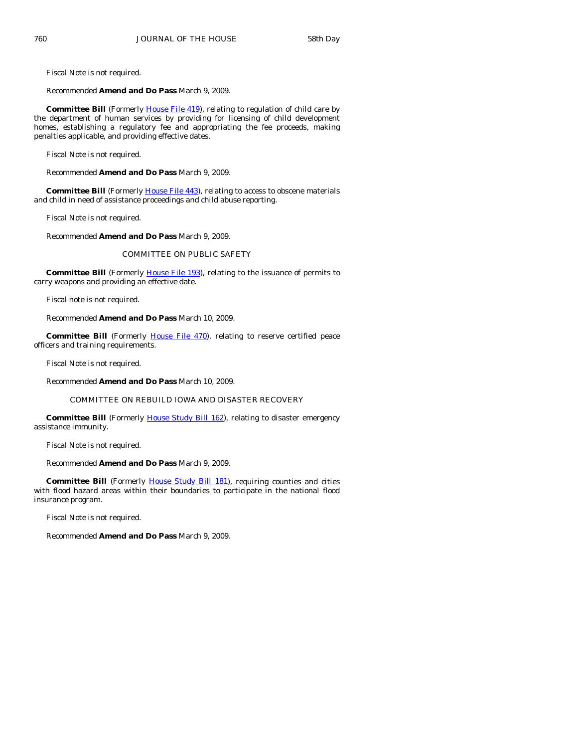Fiscal Note is not required.

Recommended **Amend and Do Pass** March 9, 2009.

**Committee Bill** (Formerly [House File 419\)](http://coolice.legis.state.ia.us/Cool-ICE/default.asp?Category=billinfo&Service=Billbook&frame=1&GA=83&hbill=HF419), relating to regulation of child care by the department of human services by providing for licensing of child development homes, establishing a regulatory fee and appropriating the fee proceeds, making penalties applicable, and providing effective dates.

Fiscal Note is not required.

Recommended **Amend and Do Pass** March 9, 2009.

**Committee Bill** (Formerly [House File 443\)](http://coolice.legis.state.ia.us/Cool-ICE/default.asp?Category=billinfo&Service=Billbook&frame=1&GA=83&hbill=HF443), relating to access to obscene materials and child in need of assistance proceedings and child abuse reporting.

Fiscal Note is not required.

Recommended **Amend and Do Pass** March 9, 2009.

#### COMMITTEE ON PUBLIC SAFETY

**Committee Bill** (Formerly *[House File 193](http://coolice.legis.state.ia.us/Cool-ICE/default.asp?Category=billinfo&Service=Billbook&frame=1&GA=83&hbill=HF193)*), relating to the issuance of permits to carry weapons and providing an effective date.

Fiscal note is not required.

Recommended **Amend and Do Pass** March 10, 2009.

**Committee Bill** (Formerly [House File 470\)](http://coolice.legis.state.ia.us/Cool-ICE/default.asp?Category=billinfo&Service=Billbook&frame=1&GA=83&hbill=HF470), relating to reserve certified peace officers and training requirements.

Fiscal Note is not required.

Recommended **Amend and Do Pass** March 10, 2009.

#### COMMITTEE ON REBUILD IOWA AND DISASTER RECOVERY

**Committee Bill** (Formerly [House Study Bill 162\)](http://coolice.legis.state.ia.us/Cool-ICE/default.asp?Category=billinfo&Service=Billbook&frame=1&GA=83&hbill=HSB162), relating to disaster emergency assistance immunity.

Fiscal Note is not required.

Recommended **Amend and Do Pass** March 9, 2009.

Committee Bill (Formerly **[House Study Bill 181](http://coolice.legis.state.ia.us/Cool-ICE/default.asp?Category=billinfo&Service=Billbook&frame=1&GA=83&hbill=HSB181)**), requiring counties and cities with flood hazard areas within their boundaries to participate in the national flood insurance program.

Fiscal Note is not required.

Recommended **Amend and Do Pass** March 9, 2009.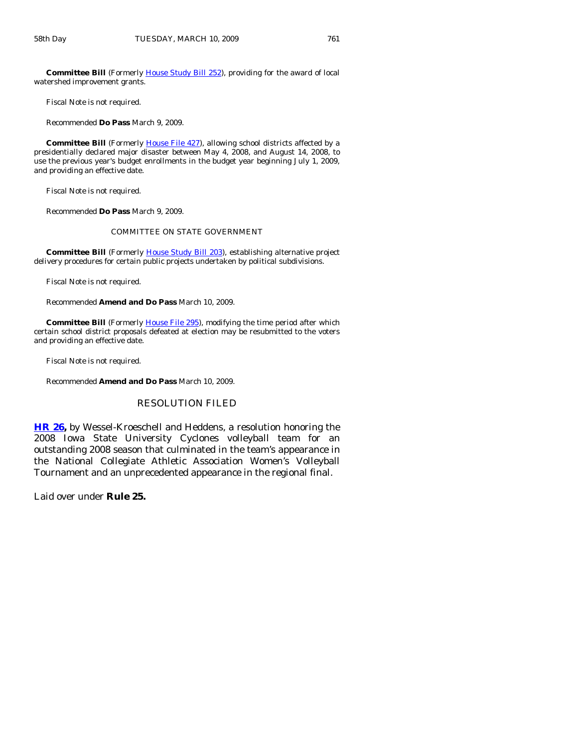**Committee Bill** (Formerly [House Study Bill 252](http://coolice.legis.state.ia.us/Cool-ICE/default.asp?Category=billinfo&Service=Billbook&frame=1&GA=83&hbill=HSB252)), providing for the award of local watershed improvement grants.

Fiscal Note is not required.

Recommended **Do Pass** March 9, 2009.

**Committee Bill** (Formerly [House File 427\)](http://coolice.legis.state.ia.us/Cool-ICE/default.asp?Category=billinfo&Service=Billbook&frame=1&GA=83&hbill=HF427), allowing school districts affected by a presidentially declared major disaster between May 4, 2008, and August 14, 2008, to use the previous year's budget enrollments in the budget year beginning July 1, 2009, and providing an effective date.

Fiscal Note is not required.

Recommended **Do Pass** March 9, 2009.

#### COMMITTEE ON STATE GOVERNMENT

 **Committee Bill** (Formerly [House Study Bill 203](http://coolice.legis.state.ia.us/Cool-ICE/default.asp?Category=billinfo&Service=Billbook&frame=1&GA=83&hbill=HSB203)), establishing alternative project delivery procedures for certain public projects undertaken by political subdivisions.

Fiscal Note is not required.

Recommended **Amend and Do Pass** March 10, 2009.

**Committee Bill** (Formerly *House File 295*), modifying the time period after which certain school district proposals defeated at election may be resubmitted to the voters and providing an effective date.

Fiscal Note is not required.

Recommended **Amend and Do Pass** March 10, 2009.

#### RESOLUTION FILED

**[HR 26,](http://coolice.legis.state.ia.us/Cool-ICE/default.asp?Category=billinfo&Service=Billbook&frame=1&GA=83&hbill=HR26)** by Wessel-Kroeschell and Heddens, a resolution honoring the 2008 Iowa State University Cyclones volleyball team for an outstanding 2008 season that culminated in the team's appearance in the National Collegiate Athletic Association Women's Volleyball Tournament and an unprecedented appearance in the regional final.

Laid over under **Rule 25.**